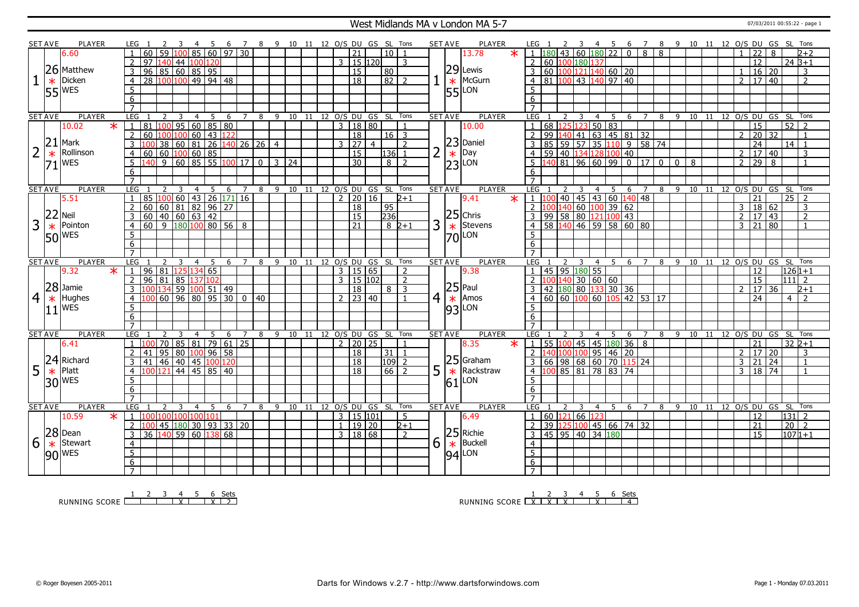### West Midlands MA v London MA 5-7 07/03/2011 00:55:22 - page 1

|                | <b>SET AVE</b> | PLAYER          | LEG 1                                          |                                         | -4<br>$-5$                        | 6 <sup>6</sup>     |                                                               |   | 7 8 9 10 11 12 O/S DU GS SL Tons   |  |              |                         |                |                  |                |   | <b>SET AVE</b> | <b>PLAYER</b>   | LEG 1                                               | <sup>2</sup>                        | $\overline{\phantom{a}3}$ |                | 4 5                |                |                |                |                           |   |                       |                |                     |                | 6 7 8 9 10 11 12 O/S DU GS SL Tons |  |
|----------------|----------------|-----------------|------------------------------------------------|-----------------------------------------|-----------------------------------|--------------------|---------------------------------------------------------------|---|------------------------------------|--|--------------|-------------------------|----------------|------------------|----------------|---|----------------|-----------------|-----------------------------------------------------|-------------------------------------|---------------------------|----------------|--------------------|----------------|----------------|----------------|---------------------------|---|-----------------------|----------------|---------------------|----------------|------------------------------------|--|
|                |                | 6.60            | $\overline{59}$                                |                                         | $100$ 85 60 97 30                 |                    |                                                               |   |                                    |  |              | 21                      |                | 10 <sup>1</sup>  |                |   |                | $\ast$<br>13.78 |                                                     |                                     |                           |                | 43 60 180 22       | $\overline{0}$ | $\overline{8}$ | $\overline{8}$ |                           |   |                       |                | 22                  | $\mathsf{R}$   | $2+2$                              |  |
|                |                |                 | $\overline{2}$<br>97<br>140                    | 44   100                                | 120                               |                    |                                                               |   |                                    |  |              | 3   15   120            |                |                  | $\mathbf{R}$   |   |                |                 | $\mathcal{P}$                                       | 60 100 180 137                      |                           |                |                    |                |                |                |                           |   |                       |                | 12                  |                | $24B+1$                            |  |
|                |                | 26 Matthew      | $\overline{96}$<br>3                           | 85   60   85   95                       |                                   |                    |                                                               |   |                                    |  |              | $\overline{15}$         |                | l 80             |                |   |                | $29$ Lewis      | 3                                                   | 60 100 121 140 60 20                |                           |                |                    |                |                |                |                           |   |                       |                | $16 \mid 20$        |                | $\overline{3}$                     |  |
|                | $\ast$         | Dicken          | $\overline{4}$<br>28                           | $100 100 $ 49 94 48                     |                                   |                    |                                                               |   |                                    |  |              | $\overline{18}$         |                | $\sqrt{82}$ 2    |                |   | $\ast$         | McGurn          | $\overline{4}$                                      | 81 100 43 140 97 40                 |                           |                |                    |                |                |                |                           |   |                       | 2 <sup>1</sup> | 17 40               |                | $\overline{2}$                     |  |
|                |                | <b>WES</b>      | $\overline{5}$                                 |                                         |                                   |                    |                                                               |   |                                    |  |              |                         |                |                  |                |   |                | LON             | 5                                                   |                                     |                           |                |                    |                |                |                |                           |   |                       |                |                     |                |                                    |  |
|                | 55             |                 | $\overline{6}$                                 |                                         |                                   |                    |                                                               |   |                                    |  |              |                         |                |                  |                |   | 551            |                 | $6\overline{6}$                                     |                                     |                           |                |                    |                |                |                |                           |   |                       |                |                     |                |                                    |  |
|                |                |                 | $\overline{7}$                                 |                                         |                                   |                    |                                                               |   |                                    |  |              |                         |                |                  |                |   |                |                 | $\overline{7}$                                      |                                     |                           |                |                    |                |                |                |                           |   |                       |                |                     |                |                                    |  |
|                | <b>SET AVE</b> | <b>PLAYER</b>   | LEG 1<br>$\overline{2}$                        | $\overline{\mathbf{3}}$                 | $\overline{4}$<br>$5\overline{)}$ |                    |                                                               |   | 6 7 8 9 10 11 12 O/S DU GS SL Tons |  |              |                         |                |                  |                |   | <b>SET AVE</b> | <b>PLAYER</b>   | LEG 1                                               | 2                                   | $\overline{3}$            | $\overline{4}$ | $\overline{5}$     |                |                |                |                           |   |                       |                |                     |                | 6 7 8 9 10 11 12 0/S DU GS SL Tons |  |
|                |                | 10.02<br>$\ast$ | $81$   100   95   60   85   80<br>$\mathbf{1}$ |                                         |                                   |                    |                                                               |   |                                    |  |              | 3   18   80             |                |                  | $\overline{1}$ |   |                | 10.00           |                                                     | 68 125 123 50 83                    |                           |                |                    |                |                |                |                           |   |                       |                | 15                  |                | 52<br>$\overline{2}$               |  |
|                |                |                 | $\overline{2}$<br>60                           | 100 100 60 43                           |                                   | 122                |                                                               |   |                                    |  |              | 18                      |                | $16$ 3           |                |   |                |                 | 99                                                  |                                     | $140$   41                |                | $63$ 45 81 32      |                |                |                |                           |   |                       | $\mathcal{P}$  | 20                  | 32             |                                    |  |
|                | 21             | Mark            |                                                | 38   60   81                            |                                   |                    | $\left  26 \right  140 \left  26 \right  26 \left  4 \right $ |   |                                    |  | $\mathbf{3}$ | $\overline{27}$         | $\overline{4}$ |                  | $\overline{2}$ |   |                | $23$ Daniel     |                                                     | 85 59 57 35                         |                           |                |                    | 1095874        |                |                |                           |   |                       |                | $\overline{24}$     |                | $14$   1                           |  |
| $\overline{2}$ |                | Rollinson       |                                                |                                         |                                   |                    |                                                               |   |                                    |  |              |                         |                |                  |                |   |                | Day             |                                                     |                                     |                           |                |                    |                |                |                |                           |   |                       |                |                     |                |                                    |  |
|                | $\ast$         |                 | 60<br>$\overline{4}$                           | 0 100 60 85<br>9 60 85 55 100 17 0 3 24 |                                   |                    |                                                               |   |                                    |  |              | 15                      |                | 136              | $\overline{1}$ |   | $\ast$         |                 | 4                                                   | 59 40 134 128 100 40                |                           |                |                    |                |                |                |                           |   |                       | $\overline{2}$ | 17 40               |                | 3                                  |  |
|                | 71             | <b>WES</b>      | 5<br>140                                       |                                         |                                   |                    |                                                               |   |                                    |  |              | 30                      |                | $8\sqrt{2}$      |                |   |                | $ 23 $ LON      | $5^{\circ}$                                         | 140 81 96 60 99 0 17 0              |                           |                |                    |                |                |                | $\overline{0}$            | 8 |                       | $\overline{2}$ | 29                  | $\overline{8}$ | $\overline{1}$                     |  |
|                |                |                 | 6                                              |                                         |                                   |                    |                                                               |   |                                    |  |              |                         |                |                  |                |   |                |                 | 6                                                   |                                     |                           |                |                    |                |                |                |                           |   |                       |                |                     |                |                                    |  |
|                |                |                 | $\overline{7}$                                 |                                         |                                   |                    |                                                               |   |                                    |  |              |                         |                |                  |                |   |                |                 | $\overline{7}$                                      |                                     |                           |                |                    |                |                |                |                           |   |                       |                |                     |                |                                    |  |
|                | <b>SET AVE</b> | <b>PLAYER</b>   | LEG                                            | -3                                      | $\overline{4}$<br>5               | 6                  | $\overline{7}$                                                | 8 | 9 10 11 12 O/S DU GS SL Tons       |  |              |                         |                |                  |                |   | <b>SET AVE</b> | <b>PLAYER</b>   | LEG                                                 |                                     | 3                         |                | 4 5                | 6              | $\overline{7}$ |                | 8 9 10 11 12 0/S DU GS SL |   |                       |                |                     |                | Tons                               |  |
|                |                | 5.51            | $\mathbf{1}$<br>85                             | 100 60 43 26 171 16                     |                                   |                    |                                                               |   |                                    |  |              | 2   20   16             |                |                  | $2+1$          |   |                | 9.41<br>$\ast$  | $1 \overline{100}$                                  |                                     |                           |                | 40 45 43 60 140 48 |                |                |                |                           |   |                       |                | $\overline{21}$     |                | $25 \mid 2$                        |  |
|                | 22             |                 | 60<br>2                                        | $60 \ 81 \ 82$                          |                                   | $96 \overline{27}$ |                                                               |   |                                    |  |              | 18                      |                | 95               |                |   |                |                 | $2\overline{100}140\overline{60}100\overline{39}62$ |                                     |                           |                |                    |                |                |                |                           |   |                       | $\mathbf{3}$   | $\overline{18}$     | 62             | 3                                  |  |
|                |                | <b>Neil</b>     | 3<br>60                                        | $\boxed{40}$ 60 63 42                   |                                   |                    |                                                               |   |                                    |  |              | 15                      |                | $\overline{236}$ |                |   |                | $25$ Chris      |                                                     | $99$ 58 80 121 100 43               |                           |                |                    |                |                |                |                           |   |                       |                | 2   17   43         |                | $\overline{2}$                     |  |
| 3              | $\ast$         | Pointon         | 60<br>$\overline{4}$                           | 9 180 100 80 56 8                       |                                   |                    |                                                               |   |                                    |  |              | $\overline{21}$         |                | $8 \, 2+1$       |                | 3 | $\ast$         | Stevens         | $\overline{4}$                                      | 58 140 46 59 58 60 80               |                           |                |                    |                |                |                |                           |   |                       |                | $3 \mid 21 \mid 80$ |                | $\overline{1}$                     |  |
|                |                | 50 WES          | $\overline{5}$                                 |                                         |                                   |                    |                                                               |   |                                    |  |              |                         |                |                  |                |   | $70$ LON       |                 | 5                                                   |                                     |                           |                |                    |                |                |                |                           |   |                       |                |                     |                |                                    |  |
|                |                |                 | 6                                              |                                         |                                   |                    |                                                               |   |                                    |  |              |                         |                |                  |                |   |                |                 | 6                                                   |                                     |                           |                |                    |                |                |                |                           |   |                       |                |                     |                |                                    |  |
|                |                |                 | $\overline{7}$                                 |                                         |                                   |                    |                                                               |   |                                    |  |              |                         |                |                  |                |   |                |                 | $\overline{7}$                                      |                                     |                           |                |                    |                |                |                |                           |   |                       |                |                     |                |                                    |  |
|                |                |                 |                                                |                                         |                                   |                    |                                                               |   |                                    |  |              |                         |                |                  |                |   |                |                 |                                                     |                                     |                           |                |                    |                |                |                |                           |   |                       |                |                     |                |                                    |  |
|                | <b>SET AVE</b> | <b>PLAYER</b>   | LEG                                            |                                         | $\overline{4}$<br>-5              | 6                  |                                                               | 8 | 9 10 11 12 0/S DU GS SL Tons       |  |              |                         |                |                  |                |   | <b>SET AVE</b> | <b>PLAYER</b>   | LEG                                                 |                                     |                           | 4              | - 5                | 6              |                | 8              | 9                         |   | 10 11 12 O/S DU GS SL |                |                     |                | Tons                               |  |
|                |                | 9.32<br>$\ast$  | 96 81<br>$\overline{1}$                        | 125 134 65                              |                                   |                    |                                                               |   |                                    |  |              | 3   15   65             |                |                  | $\overline{2}$ |   |                | 9.38            |                                                     | 45 95 180 55                        |                           |                |                    |                |                |                |                           |   |                       |                | 12                  |                | $1261 + 1$                         |  |
|                |                |                 | $\overline{2}$<br>96<br>181                    | 85 137 102                              |                                   |                    |                                                               |   |                                    |  |              | $3 \mid 15 \mid 102$    |                |                  | $\overline{2}$ |   |                |                 | $\mathcal{L}$                                       | 100 140 30 60 60                    |                           |                |                    |                |                |                |                           |   |                       |                | 15                  |                | 111   2                            |  |
|                |                | $28$ Jamie      | 3                                              | 100 134 59 100 51 49                    |                                   |                    |                                                               |   |                                    |  |              | 18                      |                | $8 \mid 3$       |                |   | $25$ Paul      |                 |                                                     | 42 180 80 133 30 36                 |                           |                |                    |                |                |                |                           |   |                       |                | 17 <sup>1</sup>     | 36             | $2+1$                              |  |
| $\overline{4}$ | $\ast$         | Hughes          | 100 60 96 80 95 30 0 40<br>$\overline{4}$      |                                         |                                   |                    |                                                               |   |                                    |  |              | 2 2 3 4 0               |                |                  | $\blacksquare$ | 4 | $\ast$         | Amos            | $4   60   60   100   60   105   42   53   17$       |                                     |                           |                |                    |                |                |                |                           |   |                       |                | 24                  |                | $4 \mid 2$                         |  |
|                |                | WES             | 5                                              |                                         |                                   |                    |                                                               |   |                                    |  |              |                         |                |                  |                |   |                |                 | 5                                                   |                                     |                           |                |                    |                |                |                |                           |   |                       |                |                     |                |                                    |  |
|                | 11             |                 | 6                                              |                                         |                                   |                    |                                                               |   |                                    |  |              |                         |                |                  |                |   |                | $ 93 $ LON      | 6                                                   |                                     |                           |                |                    |                |                |                |                           |   |                       |                |                     |                |                                    |  |
|                |                |                 | $\overline{7}$                                 |                                         |                                   |                    |                                                               |   |                                    |  |              |                         |                |                  |                |   |                |                 | $\overline{7}$                                      |                                     |                           |                |                    |                |                |                |                           |   |                       |                |                     |                |                                    |  |
|                | <b>SET AVE</b> | <b>PLAYER</b>   | <b>LEG</b>                                     | 3                                       | 5<br>$\overline{4}$               | 6                  | $\overline{7}$                                                |   | 8 9 10 11 12 0/S DU GS SL Tons     |  |              |                         |                |                  |                |   | <b>SET AVE</b> | <b>PLAYER</b>   | LEG 1                                               | 2                                   | $\overline{3}$            | $\overline{4}$ | 5                  | 6 7            |                |                |                           |   |                       |                |                     |                | 8 9 10 11 12 0/S DU GS SL Tons     |  |
|                |                | 6.41            | $\mathbf{1}$<br>100                            | 70 85 81 79 61 25                       |                                   |                    |                                                               |   |                                    |  |              | $\frac{1}{2}$   20   25 |                |                  | $\mathbf{1}$   |   |                | 8.35<br>$\star$ | 1 <sup>1</sup>                                      | 55 100 45 45 180 36 8               |                           |                |                    |                |                |                |                           |   |                       |                | $\overline{21}$     |                | $32 2+1$                           |  |
|                |                |                 | $\overline{2}$<br>41                           | 95 80 100 96 58                         |                                   |                    |                                                               |   |                                    |  |              | 18                      |                | 31   1           |                |   |                |                 | 2 1                                                 | 40 100 100 95 46 20                 |                           |                |                    |                |                |                |                           |   |                       | $\overline{2}$ | 17   20             |                | 3                                  |  |
|                |                | 24 Richard      | 3<br>41                                        | $46 \mid 40 \mid 45$                    | 100                               | 120                |                                                               |   |                                    |  |              | 18                      |                | l109l 2          |                |   |                | $25$ Graham     | 3 <sup>1</sup>                                      | $66$   98   68   60   70   115   24 |                           |                |                    |                |                |                |                           |   |                       | $\overline{3}$ | 21                  | 24             | $\overline{1}$                     |  |
|                |                | Platt           | 4<br>1001121                                   |                                         | 44   45   85   40                 |                    |                                                               |   |                                    |  |              | 18                      |                | $\overline{66}$  | $\overline{2}$ |   |                | Rackstraw       | $4 \vert 1$                                         | 00 85 81 78 83 74                   |                           |                |                    |                |                |                |                           |   |                       | 3              | 18 74               |                | $\overline{1}$                     |  |
| 5              | $\ast$         |                 |                                                |                                         |                                   |                    |                                                               |   |                                    |  |              |                         |                |                  |                | 5 | $\ast$         |                 | 5                                                   |                                     |                           |                |                    |                |                |                |                           |   |                       |                |                     |                |                                    |  |
|                |                | 30 MES          | 5<br>6                                         |                                         |                                   |                    |                                                               |   |                                    |  |              |                         |                |                  |                |   | 61             | LON             | 6                                                   |                                     |                           |                |                    |                |                |                |                           |   |                       |                |                     |                |                                    |  |
|                |                |                 | $\overline{7}$                                 |                                         |                                   |                    |                                                               |   |                                    |  |              |                         |                |                  |                |   |                |                 | $\overline{7}$                                      |                                     |                           |                |                    |                |                |                |                           |   |                       |                |                     |                |                                    |  |
|                | <b>SET AVE</b> | PLAYER          | LEG <sub>1</sub><br>$\overline{2}$             | $\overline{\mathbf{3}}$                 | $\overline{4}$                    | 5 6 7              |                                                               | 8 | 9 10 11 12 O/S DU GS SL Tons       |  |              |                         |                |                  |                |   | <b>SET AVE</b> | <b>PLAYER</b>   | LEG 1                                               | $\mathcal{L}$                       | $\overline{\mathbf{3}}$   |                | 4 5 6              |                | $\overline{7}$ | 8              |                           |   |                       |                |                     |                | 9 10 11 12 O/S DU GS SL Tons       |  |
|                |                | 10.59<br>$\ast$ | 1<br>100 100 100 100 101                       |                                         |                                   |                    |                                                               |   |                                    |  |              | 3 15 101                |                |                  | -5             |   |                | 6.49            | $\overline{1}$                                      |                                     |                           |                |                    |                |                |                |                           |   |                       |                | 12                  |                | $\overline{131}$ 2                 |  |
|                |                |                 | $\overline{2}$<br>100                          |                                         |                                   |                    |                                                               |   |                                    |  |              | $1 \mid 19 \mid 20$     |                |                  | $2+1$          |   |                |                 | $\mathcal{L}$                                       | 60 121 66 123                       |                           |                |                    |                |                |                |                           |   |                       |                | $\overline{21}$     |                | $\overline{20}$   $\overline{2}$   |  |
|                |                |                 |                                                | 45 180 30 93 33 20                      |                                   |                    |                                                               |   |                                    |  |              |                         |                |                  | $\overline{2}$ |   |                |                 | 3                                                   | 39 125 100                          |                           |                | 45 66 74 32        |                |                |                |                           |   |                       |                | 15                  |                |                                    |  |
|                |                | $28$ Dean       | 36 140 59 60 138 68<br>$\overline{3}$          |                                         |                                   |                    |                                                               |   |                                    |  |              | 3   18   68             |                |                  |                |   |                | $25$ Richie     |                                                     | 45 95 40 34 180                     |                           |                |                    |                |                |                |                           |   |                       |                |                     |                | $1071 + 1$                         |  |
| 6              | $\ast$         | <b>Stewart</b>  | $\overline{4}$                                 |                                         |                                   |                    |                                                               |   |                                    |  |              |                         |                |                  |                | 6 | $\ast$         | Buckell         | $\overline{4}$                                      |                                     |                           |                |                    |                |                |                |                           |   |                       |                |                     |                |                                    |  |
|                |                | 90 WES          | $\overline{5}$                                 |                                         |                                   |                    |                                                               |   |                                    |  |              |                         |                |                  |                |   |                | $ 94 $ LON      | $\overline{5}$                                      |                                     |                           |                |                    |                |                |                |                           |   |                       |                |                     |                |                                    |  |
|                |                |                 | 6<br>$\overline{7}$                            |                                         |                                   |                    |                                                               |   |                                    |  |              |                         |                |                  |                |   |                |                 | $6\overline{6}$<br>$\overline{7}$                   |                                     |                           |                |                    |                |                |                |                           |   |                       |                |                     |                |                                    |  |

RUNNING SCORE 1 2 3 4 X 5 6 X Sets 2

RUNNING SCORE 1 X 2 X 3 X 4 5 X 6 Sets 4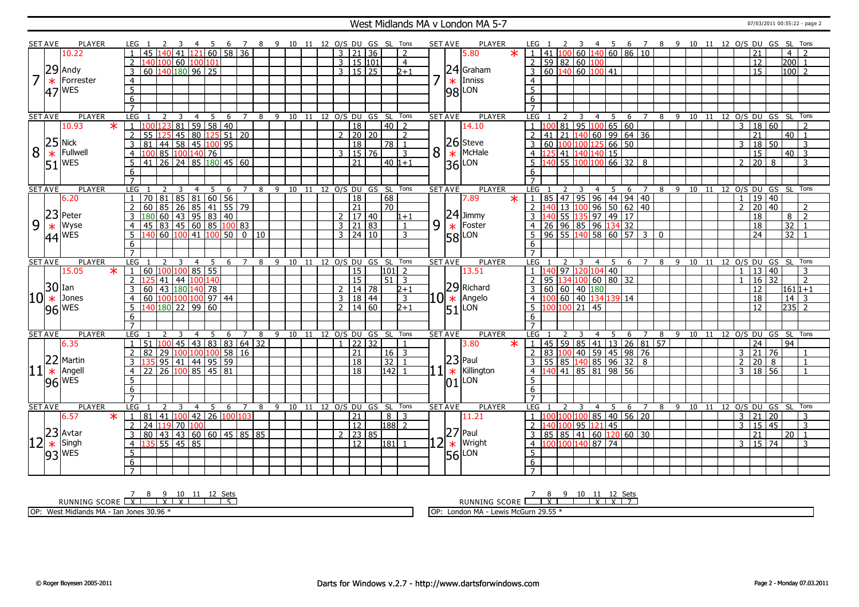#### West Midlands MA v London MA 5-7 07/03/2011 00:55:22 - page 2

|                | <b>SET AVE</b> | <b>PLAYER</b>                                             | LEG 1                                                                 | 4 5 6 7 8 9 10 11 12 O/S DU GS SL Tons<br>-3 |                       |   |                                |    |                      |                 |                     |             |                |   | <b>SET AVE</b><br>PLAYER            |         | LEG 1                                   | $\overline{\mathbf{3}}$ |                                                      |                     |              |         |       |                       |                         | 4 5 6 7 8 9 10 11 12 O/S DU GS SL Tons |                |
|----------------|----------------|-----------------------------------------------------------|-----------------------------------------------------------------------|----------------------------------------------|-----------------------|---|--------------------------------|----|----------------------|-----------------|---------------------|-------------|----------------|---|-------------------------------------|---------|-----------------------------------------|-------------------------|------------------------------------------------------|---------------------|--------------|---------|-------|-----------------------|-------------------------|----------------------------------------|----------------|
|                |                | 10.22                                                     | $\overline{1}$<br>45                                                  | $140$ 41 $121$ 60 58 36                      |                       |   |                                |    |                      |                 | $3 \mid 21 \mid 36$ |             | $\overline{2}$ |   | 5.80                                | $\ast$  | 41<br>1 N.C                             |                         | 60 140 60 86 10                                      |                     |              |         |       |                       | 21                      | 4 <sup>1</sup>                         | $\overline{2}$ |
|                |                |                                                           | 2                                                                     | 140 100 60 100 101                           |                       |   |                                |    |                      |                 | 3   15   101        |             | $\overline{4}$ |   |                                     |         | 59 82 60 100<br>2                       |                         |                                                      |                     |              |         |       |                       | 12                      | 200                                    | $\overline{1}$ |
|                | 29             | Andy                                                      | 3                                                                     | 60 140 180 96 25                             |                       |   |                                |    |                      |                 | $3 \mid 15 \mid 25$ |             | $2 + 1$        |   | 24 Graham                           |         | 60 140 60 100 41<br>3                   |                         |                                                      |                     |              |         |       |                       | 15                      | 100 2                                  |                |
| $\overline{7}$ | $\ast$         | Forrester                                                 | $\overline{4}$                                                        |                                              |                       |   |                                |    |                      |                 |                     |             |                |   | $\star$   Inniss                    |         | $\overline{4}$                          |                         |                                                      |                     |              |         |       |                       |                         |                                        |                |
|                |                |                                                           |                                                                       |                                              |                       |   |                                |    |                      |                 |                     |             |                |   |                                     |         |                                         |                         |                                                      |                     |              |         |       |                       |                         |                                        |                |
|                | 47             | <b>WES</b>                                                | 5                                                                     |                                              |                       |   |                                |    |                      |                 |                     |             |                |   | $ 98 $ LON                          |         | $5\overline{)}$                         |                         |                                                      |                     |              |         |       |                       |                         |                                        |                |
|                |                |                                                           | 6                                                                     |                                              |                       |   |                                |    |                      |                 |                     |             |                |   |                                     |         | $\overline{6}$                          |                         |                                                      |                     |              |         |       |                       |                         |                                        |                |
|                |                |                                                           | $\overline{7}$                                                        |                                              |                       |   |                                |    |                      |                 |                     |             |                |   |                                     |         | $\overline{7}$                          |                         |                                                      |                     |              |         |       |                       |                         |                                        |                |
|                | SET AVE        | <b>PLAYER</b>                                             | LEG<br>2                                                              | 3<br>4<br>5                                  | $\overline{7}$<br>-6  | 8 | 9 10 11 12 0/S DU GS SL Tons   |    |                      |                 |                     |             |                |   | <b>PLAYER</b><br><b>SET AVE</b>     |         | LEG<br>2                                | 3<br>4                  | 5                                                    | 6<br>$\overline{7}$ | 8 9          |         |       |                       |                         | 10 11 12 O/S DU GS SL Tons             |                |
|                |                | 10.93<br>$\ast$                                           | $\overline{1}$<br>123                                                 | 81 59 58 40                                  |                       |   |                                |    |                      | 18              |                     | 40          | $\overline{z}$ |   | 14.10                               |         | $\mathbf{1}$<br>81                      |                         | 95   100   65   60                                   |                     |              |         |       | 3                     | 18<br>60                |                                        | $\overline{2}$ |
|                |                |                                                           | $\overline{2}$                                                        | 55 125 45 80 125 51 20                       |                       |   |                                |    |                      |                 | $2 \mid 20 \mid 20$ |             | $\mathcal{L}$  |   |                                     |         | $\overline{2}$<br>21<br>41              |                         | 140 60 99 64 36                                      |                     |              |         |       |                       | $\overline{21}$         | $40$   1                               |                |
|                |                |                                                           | $\overline{3}$                                                        | 81 44 58 45 100 95                           |                       |   |                                |    |                      | 18              |                     | 78   1      |                |   | 26 Steve                            |         | $\overline{3}$<br>60<br>100             | 100 125                 | $66 \overline{50}$                                   |                     |              |         |       | 3                     | 18<br>50                |                                        | 3              |
| 8              |                | Fullwell                                                  | $\overline{4}$                                                        | 100 85 100 140 76                            |                       |   |                                |    |                      |                 | 3   15   76         |             | 3              | 8 | $\star$ McHale                      |         | $\overline{4}$<br>125<br>41             | 140 140                 | 15                                                   |                     |              |         |       |                       | 15                      | $40\sqrt{3}$                           |                |
|                |                | $\frac{25}{\text{*}}$ Fullw<br>51 WES                     | 5                                                                     | 41 26 24 85 180 45 60                        |                       |   |                                |    |                      | $\overline{21}$ |                     | $40 1+1$    |                |   | $ 36 $ LON                          |         | $5\overline{)}$<br>55<br>4 <sup>c</sup> |                         | $\sqrt{66}$ 32 8                                     |                     |              |         |       | $2^{\circ}$           | $\overline{20}$<br>8    |                                        | $\overline{3}$ |
|                |                |                                                           | 6                                                                     |                                              |                       |   |                                |    |                      |                 |                     |             |                |   |                                     |         | 6                                       |                         |                                                      |                     |              |         |       |                       |                         |                                        |                |
|                |                |                                                           | $\overline{7}$                                                        |                                              |                       |   |                                |    |                      |                 |                     |             |                |   |                                     |         |                                         |                         |                                                      |                     |              |         |       |                       |                         |                                        |                |
|                | <b>SET AVE</b> | <b>PLAYER</b>                                             | <b>LEG</b>                                                            | $\overline{4}$<br>5                          | $\overline{7}$<br>- 6 |   | 8 9 10 11 12 O/S DU GS SL Tons |    |                      |                 |                     |             |                |   | <b>SET AVE</b><br><b>PLAYER</b>     |         | LEG                                     | $\overline{4}$          | 5                                                    | 6 7                 |              |         |       |                       |                         | 8 9 10 11 12 0/S DU GS SL Tons         |                |
|                |                | 6.20                                                      | $\overline{1}$                                                        | 70 81 85 81 60 56                            |                       |   |                                |    |                      | 18              |                     | 68          |                |   | 7.89                                | $\ast$  | 85<br>47                                |                         | $95$ 96 44 94 40                                     |                     |              |         |       | $\mathbf{1}$          | 19 40                   |                                        |                |
|                |                |                                                           | 2<br>60                                                               | 85   26   85   41   55   79                  |                       |   |                                |    |                      | $\overline{21}$ |                     | 70          |                |   |                                     |         | $\overline{2}$<br>13<br>140             | 100                     | $96$ 50 62 40                                        |                     |              |         |       | $\mathcal{L}$         | $\overline{20}$<br>  40 |                                        | $\mathcal{L}$  |
|                | 23             | Peter                                                     | $\overline{3}$                                                        | $180\ 60\ 43\ 95\ 83\ 40$                    |                       |   |                                |    |                      |                 | 2  17   40          |             | $1 + 1$        |   | $24$ Jimmy                          |         | 55<br>3                                 |                         | 135 97 49 17                                         |                     |              |         |       |                       | 18                      | $8\sqrt{2}$                            |                |
| 9              |                | Wyse                                                      | $\overline{4}$                                                        | 45 83 45 60 85 100 83                        |                       |   |                                |    |                      |                 | 3   21   83         |             | $\mathbf{1}$   | 9 | Foster<br>$\ast$                    |         | 26<br>$\overline{4}$                    |                         | $96 \overline{)85 \overline{)96 \overline{)134}}$ 32 |                     |              |         |       |                       | 18                      | 32                                     | $\overline{1}$ |
|                |                | $\frac{*}{44}$ Wyse                                       | $5\vert 140\vert 60\vert 100\vert 41\vert 100\vert 50\vert 0\vert 10$ |                                              |                       |   |                                |    |                      |                 | $3 \mid 24 \mid 10$ |             | 3              |   |                                     |         | $96$ 55 $140$ 58 60 57 3<br>- 5         |                         |                                                      |                     | $\mathbf{0}$ |         |       |                       | 24                      | 32 1                                   |                |
|                |                |                                                           | 6                                                                     |                                              |                       |   |                                |    |                      |                 |                     |             |                |   | <b>58</b> LON                       |         | 6                                       |                         |                                                      |                     |              |         |       |                       |                         |                                        |                |
|                |                |                                                           | $\overline{7}$                                                        |                                              |                       |   |                                |    |                      |                 |                     |             |                |   |                                     |         | $\overline{7}$                          |                         |                                                      |                     |              |         |       |                       |                         |                                        |                |
|                | <b>SET AVE</b> | <b>PLAYER</b>                                             | LEG                                                                   | -5<br>4                                      | $\overline{7}$<br>-6  | 8 | 9 10 11 12 O/S DU GS SL Tons   |    |                      |                 |                     |             |                |   | <b>PLAYER</b><br><b>SET AVE</b>     |         | LEG                                     | $\overline{4}$          | -5                                                   | 6 7                 | 8 9          |         | 10 11 |                       |                         | 12 O/S DU GS SL Tons                   |                |
|                |                | 15.05                                                     | $\vert 1 \vert 60 \vert 100 \vert 100 \vert 85 \vert 55$              |                                              |                       |   |                                |    |                      | 15              |                     | 101         | $\mathcal{D}$  |   | 13.51                               |         | $\overline{1}$<br>97<br>4 <sup>c</sup>  | 120 104 40              |                                                      |                     |              |         |       | $\mathbf{1}$          | 13 40                   |                                        | 3              |
|                |                |                                                           | 2                                                                     | 41   44   100  <br>140                       |                       |   |                                |    |                      | 15              |                     | 51          | 3              |   |                                     |         |                                         | ۱nr                     | 60 80 32                                             |                     |              |         |       |                       | 32<br>16                |                                        | $\overline{2}$ |
|                | 30             | Ian                                                       | 3                                                                     | 60 43 180 140 78                             |                       |   |                                |    |                      |                 | 14 78               |             | $2 + 1$        |   | 29 Richard                          |         | 60<br>  60<br>3                         | 40 180                  |                                                      |                     |              |         |       |                       | 12                      | $161 1+1$                              |                |
| $ 10*$         |                | Jones                                                     | $\overline{4}$                                                        | 60 100 100 100 97 44                         |                       |   |                                |    |                      | $\overline{3}$  | 18   44             |             | 3              |   | $ 10 $ $\ast$   Angelo              |         | 60                                      |                         | 40 134 139 14                                        |                     |              |         |       |                       | 18                      | $14 \mid 3$                            |                |
|                |                |                                                           |                                                                       | 140 180 22 99 60                             |                       |   |                                |    |                      |                 |                     |             | $D+1$          |   |                                     |         | $\overline{4}$<br>5<br>10 <sub>c</sub>  | $\sqrt{21/45}$          |                                                      |                     |              |         |       |                       | 12                      | $ 235 $ 2                              |                |
|                |                | $96$ WES                                                  | $5^{\circ}$                                                           |                                              |                       |   |                                |    |                      |                 |                     |             |                |   |                                     |         |                                         |                         |                                                      |                     |              |         |       |                       |                         |                                        |                |
|                |                |                                                           |                                                                       |                                              |                       |   |                                |    |                      | $\overline{2}$  | 14 60               |             |                |   |                                     |         |                                         |                         |                                                      |                     |              |         |       |                       |                         |                                        |                |
|                |                |                                                           | 6                                                                     |                                              |                       |   |                                |    |                      |                 |                     |             |                |   | $51$ <sup>LON</sup>                 |         | 6                                       |                         |                                                      |                     |              |         |       |                       |                         |                                        |                |
|                |                |                                                           | $\overline{7}$                                                        |                                              |                       |   |                                |    |                      |                 |                     |             |                |   |                                     |         | $\overline{7}$                          |                         |                                                      |                     |              |         |       |                       |                         |                                        |                |
|                | <b>SET AVE</b> | <b>PLAYER</b>                                             | <b>LEG</b>                                                            | 5<br>२<br>4                                  | 6<br>$7^{\circ}$      | 8 | 9 10 11 12 0/S DU GS SL Tons   |    |                      |                 |                     |             |                |   | PLAYER<br><b>SET AVE</b>            |         | <b>LEG</b>                              | $\overline{4}$<br>3     | -5                                                   | 6<br>$\overline{7}$ | 8            | $-9$    |       | 10 11 12 0/S DU GS SL |                         |                                        | Tons           |
|                |                | 6.35                                                      | $\overline{1}$<br>51 100                                              | $145$   43   83   83   64   32               |                       |   |                                |    |                      | $\mathbf{1}$    | 22 32               |             | -1             |   | 3.80                                | $\star$ | 1<br>45                                 |                         | 59   85   41   13   26   81   57                     |                     |              |         |       |                       | 24                      | 94                                     |                |
|                |                |                                                           | $\overline{2}$<br>82                                                  | $\sqrt{29}$ 100 100 100 58 16                |                       |   |                                |    |                      | $\overline{21}$ |                     | $16 \mid 3$ |                |   |                                     |         | <sup>2</sup><br>83                      |                         | $100$ 40 59 45 98 76                                 |                     |              |         |       | $\overline{3}$        | 21 <br>$\overline{76}$  |                                        | $\overline{1}$ |
|                |                | Martin                                                    | $\overline{3}$                                                        | $95 \mid 41 \mid 44 \mid 95 \mid 59$         |                       |   |                                |    |                      | $\overline{18}$ |                     | 32          |                |   | $ 23 $ Paul                         |         | 55 85 140 85 96 32 8<br>$\overline{3}$  |                         |                                                      |                     |              |         |       | $\overline{2}$        | 20<br>8                 |                                        | $\overline{1}$ |
|                |                | Angell                                                    | $\overline{4}$                                                        | 22   26   100   85   45   81                 |                       |   |                                |    |                      | $\overline{18}$ |                     | 142         |                |   | $1*$<br>Killington                  |         | $\overline{4}$<br>140                   |                         | 41 85 81 98 56                                       |                     |              |         |       | $\overline{3}$        | 18   56                 |                                        | $\overline{1}$ |
|                |                |                                                           | 5                                                                     |                                              |                       |   |                                |    |                      |                 |                     |             |                |   |                                     |         | 5                                       |                         |                                                      |                     |              |         |       |                       |                         |                                        |                |
|                |                | $96$ WES                                                  | 6                                                                     |                                              |                       |   |                                |    |                      |                 |                     |             |                |   | $ 01 $ LON                          |         | 6                                       |                         |                                                      |                     |              |         |       |                       |                         |                                        |                |
|                |                |                                                           | $\overline{7}$                                                        |                                              |                       |   |                                |    |                      |                 |                     |             |                |   |                                     |         |                                         |                         |                                                      |                     |              |         |       |                       |                         |                                        |                |
|                | <b>SET AVE</b> | <b>PLAYER</b>                                             | <b>LEG</b>                                                            | $\overline{4}$<br>5<br>3                     | 6<br>$\overline{7}$   | 8 | 9<br>10                        | 11 | 12 O/S DU GS SL Tons |                 |                     |             |                |   | <b>SET AVE</b><br><b>PLAYER</b>     |         | LEG                                     | 3<br>$\overline{4}$     | 5                                                    | 6<br>$\overline{7}$ | 8            | 9<br>10 | 11    |                       |                         | 12 O/S DU GS SL Tons                   |                |
|                |                | 6.57<br>$\ast$                                            | $\overline{1}$<br>  81                                                | 41 100 42 26 100 103                         |                       |   |                                |    |                      | 21              |                     | 8           | 3              |   | 11.21                               |         | n                                       | 100                     | 85 40 56 20                                          |                     |              |         |       | $\overline{3}$        | 21<br>$\overline{20}$   |                                        | 3              |
|                |                |                                                           | 24 119 70 100<br>2                                                    |                                              |                       |   |                                |    |                      | $\overline{12}$ |                     | $188$ 2     |                |   |                                     |         | $\overline{2}$<br>.oc                   | 95 121                  | $\overline{45}$                                      |                     |              |         |       | $\mathbf{3}$          | 15<br>45                |                                        | $\overline{3}$ |
|                |                |                                                           | $\overline{3}$                                                        |                                              |                       |   |                                |    |                      |                 |                     |             |                |   |                                     |         | $\overline{3}$                          |                         |                                                      |                     |              |         |       |                       | $\overline{21}$         | $\overline{20}$ 1                      |                |
|                |                |                                                           | $\overline{4}$                                                        | 80   43   43   60   60   45   85   85        |                       |   |                                |    |                      | $\overline{12}$ | $2 \mid 23 \mid 85$ |             |                |   | $ 27 $ Paul                         |         | 85 85 41 60 120 60 30<br>100<br>n       | 140                     |                                                      |                     |              |         |       | $\overline{3}$        |                         |                                        | 3              |
| $ 11 ^{22}$    |                |                                                           |                                                                       | 55   45   85                                 |                       |   |                                |    |                      |                 |                     | 181 1       |                |   | $12$ $\mathbf{\overline{*}}$ Wright |         | $\overline{4}$                          |                         | $87 \overline{74}$                                   |                     |              |         |       |                       | 15 74                   |                                        |                |
|                |                | $\frac{12}{2}$ avtar<br>$\frac{12}{12}$ since<br>$93$ WES | 5                                                                     |                                              |                       |   |                                |    |                      |                 |                     |             |                |   | $ 56 $ LON                          |         | $\overline{5}$                          |                         |                                                      |                     |              |         |       |                       |                         |                                        |                |
|                |                |                                                           | 6<br>$\overline{7}$                                                   |                                              |                       |   |                                |    |                      |                 |                     |             |                |   |                                     |         | $\overline{6}$<br>$\overline{7}$        |                         |                                                      |                     |              |         |       |                       |                         |                                        |                |

<u>7 8 9 10 11 12 Sets</u><br>RUNNING SCORE <u>| X | X | X | X | | | 5</u>

OP: West Midlands MA - Ian Jones 30.96 \*

7 8 9 10 11 12 Sets<br>RUNNING SCORE <u>| X | X | X | X | 7</u>

OP: London MA - Lewis McGurn 29.55 \*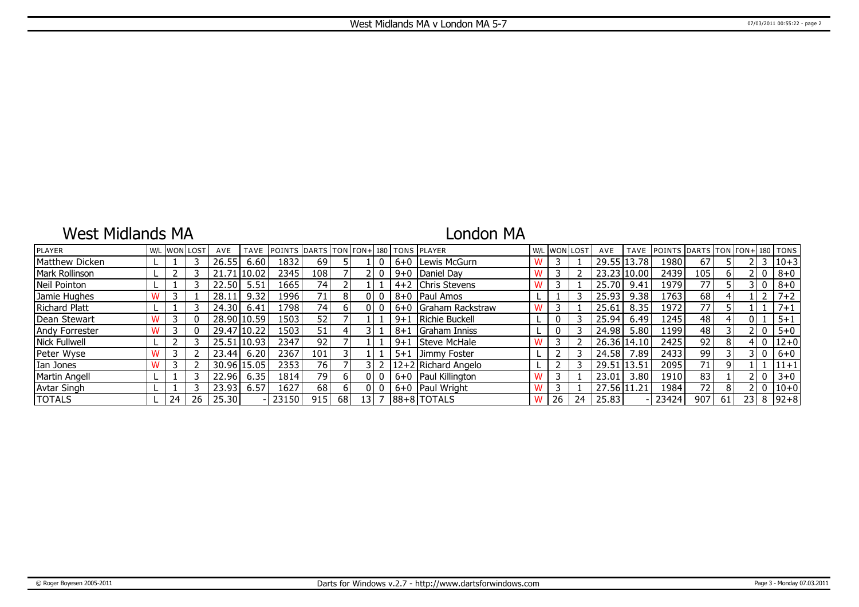## West Midlands MA

## London MA

| <b>PLAYER</b>        |    | W/L WON LOST | AVE         | <b>TAVE</b> | POINTS DARTS TON TON+ 180 TONS PLAYER |                 |    |    |         |                       |   |    | W/L WON LOST | AVE         | <b>TAVE</b> | POINTS DARTS TON TON+ 180 TONS |                 |    |    |       |          |
|----------------------|----|--------------|-------------|-------------|---------------------------------------|-----------------|----|----|---------|-----------------------|---|----|--------------|-------------|-------------|--------------------------------|-----------------|----|----|-------|----------|
| Matthew Dicken       |    |              | 26.55       | 6.60        | 1832                                  | 69              |    |    |         | 6+0 Lewis McGurn      |   |    |              |             | 29.55 13.78 | 1980                           | 67              |    |    |       | $ 10+3$  |
| Mark Rollinson       |    |              | 21.71110.02 |             | 2345                                  | 108             |    |    |         | $9+0$ Daniel Day      |   |    |              |             | 23.23 10.00 | 2439                           | 105             |    |    |       | $8 + 0$  |
| Neil Pointon         |    |              | 22.50       | 5.51        | 1665                                  | 74              |    |    |         | $4+2$ Chris Stevens   |   |    |              | 25.70       | 9.41        | 1979                           | 77              |    |    |       | $8 + 0$  |
| Jamie Hughes         |    |              | 28.11       | 9.32        | 19961                                 | 71 <sub>1</sub> | 8  |    |         | 8+0   Paul Amos       |   |    |              | 25.93       | 9.38        | 1763                           | 68              |    |    |       | $7 + 2$  |
| <b>Richard Platt</b> |    |              | 24.30       | 6.41        | .798                                  | 74              | 61 |    |         | 6+0 Graham Rackstraw  | w |    |              | 25.61       | 8.35        | 1972                           | 77              |    |    |       | $7 + 1$  |
| Dean Stewart         |    |              |             | 28.90 10.59 | 1503                                  | 52              |    |    | $9 + 1$ | Richie Buckell        |   | 0  |              | 25.94       | 6.49        | 1245                           | 48              |    |    |       | $5 + 1$  |
| Andy Forrester       |    |              |             | 29.47 10.22 | 1503                                  | 51              |    |    | $8 + 1$ | Graham Inniss         |   | 0  |              | 24.98       | 5.80        | 1199                           | 48              |    |    |       | $5 + 0$  |
| Nick Fullwell        |    |              | 25.51 10.93 |             | 2347                                  | 92              |    |    | $9 + 1$ | <b>Steve McHale</b>   |   |    |              |             | 26.36 14.10 | 2425                           | 92              | 8  |    |       | $ 12+0 $ |
| Peter Wyse           |    |              | 23.44       | 6.20        | 2367                                  | 101             |    |    |         | 5+1 Jimmy Foster      |   |    |              | 24.58       | 7.89        | 2433                           | 99              |    |    | 3 I O | $6+0$    |
| Ian Jones            |    |              | 30.96 15.05 |             | 23531                                 | 76              |    |    |         | $12+2$ Richard Angelo |   |    |              | 29.51 13.51 |             | 2095                           | 71              |    |    |       | $11 + 1$ |
| Martin Angell        |    |              | 22.96       | 6.35        | 1814                                  | 79 l            | 61 |    |         | 6+0   Paul Killington |   |    |              | 23.01       | 3.80        | 1910                           | 83              |    |    |       | $3 + 0$  |
| <b>Avtar Singh</b>   |    |              | 23.93       | 6.57        | 1627                                  | 68              | 6. |    |         | $6+0$ Paul Wright     |   |    |              | 27.56 11.21 |             | 1984                           | 72 <sub>1</sub> |    |    |       | $ 10+0 $ |
| <b>TOTALS</b>        | 24 | 26           | 25.30       |             | 23150                                 | 915             | 68 | 13 |         | $ 88+8 $ TOTALS       |   | 26 | 24           | 25.83       |             | 23424                          | 907             | 61 | 23 | 8     | $ 92+8 $ |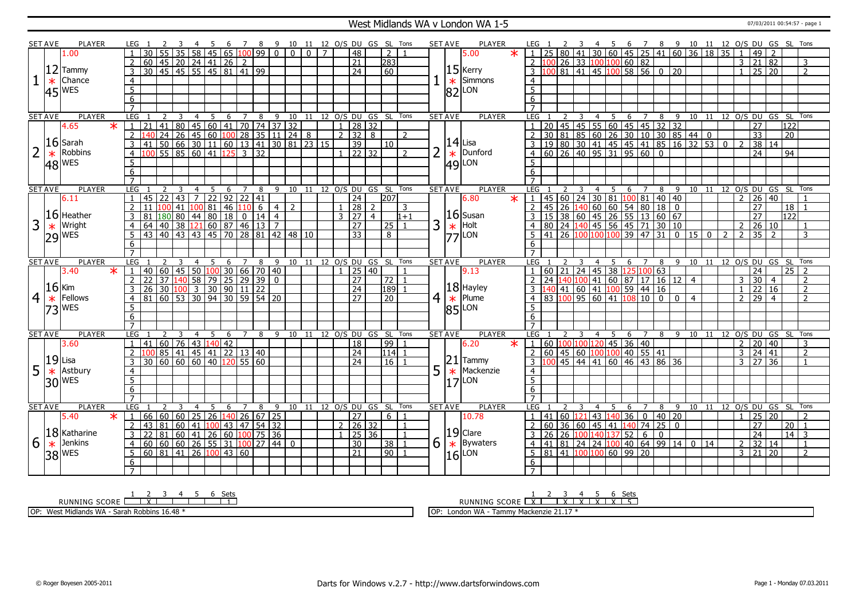### West Midlands WA v London WA 1-5 07/03/2011 00:54:57 - page 1

|                | SET AVE        | PLAYER                    | LEG 1           |    |                | - 3            | - 4                     | 5 <sup>5</sup> | 6 <sup>6</sup> |                |                                                      |                                                                                                                                                                                                                                        |                |                |  |                           |                | 7 8 9 10 11 12 O/S DU GS SL Tons |                | <b>SET AVE</b> |         | PLAYER                                 |        |                                                                                                                                                                                                                             |         |                                |                |    |     |                |                                    |                |                |    |                |                         |                     |                                |                                |                |
|----------------|----------------|---------------------------|-----------------|----|----------------|----------------|-------------------------|----------------|----------------|----------------|------------------------------------------------------|----------------------------------------------------------------------------------------------------------------------------------------------------------------------------------------------------------------------------------------|----------------|----------------|--|---------------------------|----------------|----------------------------------|----------------|----------------|---------|----------------------------------------|--------|-----------------------------------------------------------------------------------------------------------------------------------------------------------------------------------------------------------------------------|---------|--------------------------------|----------------|----|-----|----------------|------------------------------------|----------------|----------------|----|----------------|-------------------------|---------------------|--------------------------------|--------------------------------|----------------|
|                |                | 1.00                      |                 |    |                |                |                         |                |                |                |                                                      |                                                                                                                                                                                                                                        | $\overline{0}$ | $\overline{0}$ |  | $\overline{48}$           |                | $\overline{z}$                   |                |                |         | 5.00                                   |        | LEG 1 2 3 4 5 6 7 8 9 10 11 12 0/5 DU GS SL Tons<br>1 25 80 41 30 60 45 25 41 60 36 18 35 1 49 2<br>2 100 26 33 100 100 60 82<br>3 100 81 41 45 100 58 56 0 20<br>1 25 20 2                                                 |         |                                |                |    |     |                |                                    |                |                |    |                |                         |                     |                                |                                |                |
|                |                |                           |                 |    |                |                |                         |                |                |                | 0 45 20 24 41 26 2<br>30 45 45 55 45 81 41 99        |                                                                                                                                                                                                                                        |                |                |  | $\overline{21}$           |                | 283                              |                |                |         |                                        |        |                                                                                                                                                                                                                             |         |                                |                |    |     |                |                                    |                |                |    |                |                         |                     |                                |                                |                |
|                |                | $ 12 $ Tammy              | 3               |    |                |                |                         |                |                |                |                                                      |                                                                                                                                                                                                                                        |                |                |  | $\overline{24}$           |                | 60                               |                |                |         | $15$ Kerry                             |        |                                                                                                                                                                                                                             |         |                                |                |    |     |                |                                    |                |                |    |                |                         |                     |                                |                                |                |
|                | $\ast$         | Chance                    | $\overline{4}$  |    |                |                |                         |                |                |                |                                                      |                                                                                                                                                                                                                                        |                |                |  |                           |                |                                  |                |                | $\ast$  | Simmons                                |        | $\overline{4}$                                                                                                                                                                                                              |         |                                |                |    |     |                |                                    |                |                |    |                |                         |                     |                                |                                |                |
|                |                |                           | $5\overline{)}$ |    |                |                |                         |                |                |                |                                                      |                                                                                                                                                                                                                                        |                |                |  |                           |                |                                  |                |                |         |                                        |        | $\overline{5}$                                                                                                                                                                                                              |         |                                |                |    |     |                |                                    |                |                |    |                |                         |                     |                                |                                |                |
|                |                | $45$ <sup>WES</sup>       | 6               |    |                |                |                         |                |                |                |                                                      |                                                                                                                                                                                                                                        |                |                |  |                           |                |                                  |                |                |         | $ 82 $ LON                             |        | 6                                                                                                                                                                                                                           |         |                                |                |    |     |                |                                    |                |                |    |                |                         |                     |                                |                                |                |
|                |                |                           | $\overline{7}$  |    |                |                |                         |                |                |                |                                                      |                                                                                                                                                                                                                                        |                |                |  |                           |                |                                  |                |                |         |                                        |        | $\overline{7}$                                                                                                                                                                                                              |         |                                |                |    |     |                |                                    |                |                |    |                |                         |                     |                                |                                |                |
|                | <b>SET AVE</b> | <b>PLAYER</b>             | LEG             |    |                |                |                         |                |                |                |                                                      |                                                                                                                                                                                                                                        |                |                |  |                           |                |                                  |                | <b>SET AVE</b> |         | <b>PLAYER</b>                          |        | LEG                                                                                                                                                                                                                         |         | $\overline{\mathbf{3}}$        | 4 <sub>5</sub> |    |     |                | 6 7 8 9 10 11 12 0/S DU GS SL Tons |                |                |    |                |                         |                     |                                |                                |                |
|                |                | $\overline{\ast}$<br>4.65 | $\vert 1 \vert$ |    |                |                |                         |                |                |                |                                                      |                                                                                                                                                                                                                                        |                |                |  |                           |                |                                  |                |                |         |                                        |        | $\begin{array}{ c c c c c c c c c c c } \hline 1&20&45&45&55&60&45&45&32&32&10&11\ \hline 2&30&81&85&60&26&30&10&30&85&44&0\ \hline 3&19&80&30&41&45&45&41&85&16&32&53\ \hline 4&60&26&40&95&31&95&60&0 \hline \end{array}$ |         |                                |                |    |     |                |                                    |                |                |    |                |                         | $\overline{27}$     |                                | $\overline{122}$               |                |
|                |                |                           | $\overline{2}$  |    |                |                |                         |                |                |                |                                                      |                                                                                                                                                                                                                                        |                |                |  |                           |                |                                  |                |                |         |                                        |        |                                                                                                                                                                                                                             |         |                                |                |    |     |                |                                    |                |                |    |                |                         | $\overline{33}$     |                                | $\overline{20}$                |                |
|                |                | $16$ Sarah                | $\overline{3}$  |    |                |                |                         |                |                |                |                                                      |                                                                                                                                                                                                                                        |                |                |  |                           |                |                                  |                |                |         | $14$ Lisa                              |        |                                                                                                                                                                                                                             |         |                                |                |    |     |                |                                    |                |                |    | $\overline{0}$ |                         | 38 14               |                                |                                |                |
| $\overline{2}$ |                | Robbins                   |                 |    |                |                |                         |                |                |                |                                                      |                                                                                                                                                                                                                                        |                |                |  |                           |                |                                  |                | $\overline{2}$ |         | Dunford                                |        |                                                                                                                                                                                                                             |         |                                |                |    |     |                |                                    |                |                |    |                |                         |                     |                                |                                |                |
|                | $\ast$         |                           | $\overline{4}$  |    |                |                |                         |                |                |                |                                                      |                                                                                                                                                                                                                                        |                |                |  |                           |                |                                  |                |                | $\ast$  |                                        |        |                                                                                                                                                                                                                             |         |                                |                |    |     |                |                                    |                |                |    |                |                         | 24                  |                                | 94                             |                |
|                |                | $ 48 ^{WES}$              | 5               |    |                |                |                         |                |                |                |                                                      |                                                                                                                                                                                                                                        |                |                |  |                           |                |                                  |                |                |         | $ 49 $ LON                             |        | 5                                                                                                                                                                                                                           |         |                                |                |    |     |                |                                    |                |                |    |                |                         |                     |                                |                                |                |
|                |                |                           | 6               |    |                |                |                         |                |                |                |                                                      |                                                                                                                                                                                                                                        |                |                |  |                           |                |                                  |                |                |         |                                        |        | 6                                                                                                                                                                                                                           |         |                                |                |    |     |                |                                    |                |                |    |                |                         |                     |                                |                                |                |
|                |                |                           | $\overline{7}$  |    |                |                |                         |                |                |                |                                                      |                                                                                                                                                                                                                                        |                |                |  |                           |                |                                  |                |                |         |                                        |        | $\overline{7}$                                                                                                                                                                                                              |         |                                |                |    |     |                |                                    |                |                |    |                |                         |                     |                                |                                |                |
|                | <b>SET AVE</b> | <b>PLAYER</b>             | LEG             |    |                |                | $\overline{4}$          | 5              | 6              | $\overline{7}$ | 8                                                    | 9                                                                                                                                                                                                                                      | 10             | 11             |  | 12 O/S DU GS SL           |                |                                  | Tons           | <b>SET AVE</b> |         | <b>PLAYER</b>                          |        | LEG                                                                                                                                                                                                                         |         |                                | $\overline{4}$ | 5  | 6   | 7              | 8                                  |                |                |    |                |                         |                     | 9 10 11 12 0/S DU GS SL Tons   |                                |                |
|                |                | 6.11                      | $\mathbf{1}$    |    | $45$ 22 43     |                | $\overline{7}$          |                |                |                | 22 92 22 41                                          |                                                                                                                                                                                                                                        |                |                |  | $\overline{24}$           |                | $\overline{207}$                 |                |                |         | 6.80                                   | $\ast$ | $\cdot$ 1                                                                                                                                                                                                                   |         |                                |                |    |     |                |                                    |                |                |    |                |                         | $2 \ 26 \ 40$       |                                |                                |                |
|                |                |                           | 2               |    |                |                |                         |                |                |                |                                                      | $\frac{11}{11} \frac{100}{100} \frac{41}{41} \frac{1}{100} \frac{6}{81} \frac{4}{46} \frac{1}{110} \frac{6}{6} \frac{4}{4} \frac{2}{2}$<br>81 180 80 44 80 18 0 14 4<br>64 40 38 121 60 87 46 13 7<br>43 40 43 43 45 70 28 81 42 48 10 |                |                |  | $1 \vert 28 \vert$        | 2              |                                  | 3              |                |         | $ 16 $ Susan                           |        |                                                                                                                                                                                                                             |         |                                |                |    |     |                |                                    |                |                |    |                |                         | 27                  |                                | 18                             | $\overline{1}$ |
|                |                | $ 16 $ Heather            | 3               |    |                |                |                         |                |                |                |                                                      |                                                                                                                                                                                                                                        |                |                |  | 3 27                      | $\overline{4}$ |                                  | $1+1$          |                |         |                                        |        |                                                                                                                                                                                                                             |         |                                |                |    |     |                |                                    |                |                |    |                |                         | 27                  |                                | $\overline{122}$               |                |
| $\overline{3}$ | $\ast$         | Wright                    | $\overline{4}$  |    |                |                |                         |                |                |                |                                                      |                                                                                                                                                                                                                                        |                |                |  | $\overline{27}$           |                | 25                               | $\overline{1}$ | 3              |         | $\left  \underset{77}{*} \right $ Holt |        |                                                                                                                                                                                                                             |         |                                |                |    |     |                |                                    |                |                |    |                | $\mathcal{P}$           | 26 10               |                                |                                |                |
|                |                | $29$ WES                  | -5              |    |                |                |                         |                |                |                |                                                      |                                                                                                                                                                                                                                        |                |                |  | 33                        |                | 8                                |                |                |         |                                        |        |                                                                                                                                                                                                                             |         |                                |                |    |     |                |                                    |                |                |    | $\overline{2}$ | $\overline{2}$          | $35 \mid 2$         |                                |                                | $\mathbf{3}$   |
|                |                |                           | 6               |    |                |                |                         |                |                |                |                                                      |                                                                                                                                                                                                                                        |                |                |  |                           |                |                                  |                |                |         |                                        |        | 6                                                                                                                                                                                                                           |         |                                |                |    |     |                |                                    |                |                |    |                |                         |                     |                                |                                |                |
|                |                |                           |                 |    |                |                |                         |                |                |                |                                                      |                                                                                                                                                                                                                                        |                |                |  |                           |                |                                  |                |                |         |                                        |        |                                                                                                                                                                                                                             |         |                                |                |    |     |                |                                    |                |                |    |                |                         |                     |                                |                                |                |
|                | <b>SET AVE</b> | <b>PLAYER</b>             | LEG 1           |    | $\overline{2}$ | $\overline{3}$ | $\overline{4}$          | - 5            |                | 6 7            | 8                                                    |                                                                                                                                                                                                                                        |                |                |  |                           |                | 9 10 11 12 0/S DU GS SL Tons     |                | <b>SET AVE</b> |         | <b>PLAYER</b>                          |        | <b>LEG</b>                                                                                                                                                                                                                  |         |                                | $\overline{4}$ | -5 | 6   | $\overline{7}$ |                                    |                |                |    |                |                         |                     | 8 9 10 11 12 0/S DU GS SL Tons |                                |                |
|                |                | $\ast$<br>3.40            | $\mathbf{1}$    |    |                |                |                         |                |                |                |                                                      |                                                                                                                                                                                                                                        |                |                |  | $1 \ 25 \ 40$             |                |                                  |                |                |         | 9.13                                   |        | $1   60   21   24   45   38   125   100   63$                                                                                                                                                                               |         |                                |                |    |     |                |                                    |                |                |    |                |                         | $\overline{24}$     |                                | 25                             | $\overline{2}$ |
|                |                |                           | $\overline{2}$  |    |                |                |                         |                |                |                |                                                      |                                                                                                                                                                                                                                        |                |                |  | 27                        |                | 72                               |                |                |         |                                        |        |                                                                                                                                                                                                                             |         | 24 140 100 41 60 87 17 16 12 4 |                |    |     |                |                                    |                |                |    |                |                         | 30                  | $\overline{4}$                 |                                | 2              |
|                |                | $16$ Kim                  | 3               |    |                |                |                         |                |                |                |                                                      |                                                                                                                                                                                                                                        |                |                |  | $\overline{24}$           |                | 189                              |                |                |         | $ 18 $ Hayley                          |        | <u>3 140 41 60 41 100 59 44 16 -</u><br>4 83 100 95 60 41 108 10 0 0                                                                                                                                                        |         |                                |                |    |     |                |                                    |                |                |    |                |                         | 22                  | <sup>16</sup>                  |                                | $\overline{2}$ |
| $\overline{4}$ | $\ast$         | Fellows                   | $\overline{4}$  |    |                |                |                         |                |                |                |                                                      |                                                                                                                                                                                                                                        |                |                |  | 27                        |                | 120                              |                | 4              | $\star$ | Plume                                  |        |                                                                                                                                                                                                                             |         |                                |                |    |     |                |                                    |                | $\overline{4}$ |    |                | $\mathcal{L}$           | 79                  | $\overline{4}$                 |                                | $\mathcal{L}$  |
|                |                | $ 73 $ <sup>WES</sup>     | .5              |    |                |                |                         |                |                |                |                                                      |                                                                                                                                                                                                                                        |                |                |  |                           |                |                                  |                |                |         | $ 85 $ LON                             |        | .5.                                                                                                                                                                                                                         |         |                                |                |    |     |                |                                    |                |                |    |                |                         |                     |                                |                                |                |
|                |                |                           | $6\overline{6}$ |    |                |                |                         |                |                |                |                                                      |                                                                                                                                                                                                                                        |                |                |  |                           |                |                                  |                |                |         |                                        |        | 6                                                                                                                                                                                                                           |         |                                |                |    |     |                |                                    |                |                |    |                |                         |                     |                                |                                |                |
|                |                |                           | $\overline{7}$  |    |                |                |                         |                |                |                |                                                      |                                                                                                                                                                                                                                        |                |                |  |                           |                |                                  |                |                |         |                                        |        | $\overline{7}$                                                                                                                                                                                                              |         |                                |                |    |     |                |                                    |                |                |    |                |                         |                     |                                |                                |                |
|                | <b>SET AVE</b> | PLAYER                    | <b>LEG</b>      |    | 2              | 3              | $\overline{4}$          | -5             | 6              | $7^{\circ}$    |                                                      |                                                                                                                                                                                                                                        |                |                |  | 8 9 10 11 12 0/S DU GS SL |                |                                  | Tons           | <b>SET AVE</b> |         | PLAYER                                 |        | <b>LEG</b>                                                                                                                                                                                                                  |         |                                | $\overline{4}$ | 5  | 6   | $\overline{7}$ | 8 9 10 11 12 0/S DU GS SL          |                |                |    |                |                         |                     |                                |                                | Tons           |
|                |                | 3.60                      | $\mathbf{1}$    | 41 |                |                | 60   76   43   140   42 |                |                |                |                                                      |                                                                                                                                                                                                                                        |                |                |  | 18                        |                | 99                               | $\overline{1}$ |                |         | 6.20                                   | $\ast$ | $1   60   100   100   120   45   36   40$                                                                                                                                                                                   |         |                                |                |    |     |                |                                    |                |                |    |                |                         | $2 \mid 20 \mid 40$ |                                |                                | 3              |
|                |                |                           | $\overline{2}$  |    |                |                |                         |                |                |                |                                                      |                                                                                                                                                                                                                                        |                |                |  | 24                        |                | 114 1                            |                |                |         |                                        |        | $2   60   45   60   100   100   40   55   41$                                                                                                                                                                               |         |                                |                |    |     |                |                                    |                |                |    |                |                         | $3 \mid 24 \mid 41$ |                                |                                | $\overline{2}$ |
|                |                | $ 19 $ Lisa               | $\overline{3}$  |    |                |                |                         |                |                |                | 100 85 41 45 41 22 13 40<br>30 60 60 60 40 120 55 60 |                                                                                                                                                                                                                                        |                |                |  | $\overline{24}$           |                | $16$ 1                           |                |                | 21      | Tammy                                  |        | $3 \, 100$                                                                                                                                                                                                                  |         | 45 44 41 60 46 43 86 36        |                |    |     |                |                                    |                |                |    |                | $\overline{\mathbf{3}}$ | $\overline{27}$     | 36                             |                                | $\overline{1}$ |
| 5              | $\ast$         | Astbury                   | $\overline{4}$  |    |                |                |                         |                |                |                |                                                      |                                                                                                                                                                                                                                        |                |                |  |                           |                |                                  |                | 5              | $\ast$  | Mackenzie                              |        | $\overline{4}$                                                                                                                                                                                                              |         |                                |                |    |     |                |                                    |                |                |    |                |                         |                     |                                |                                |                |
|                |                | $30$ WES                  | $\overline{5}$  |    |                |                |                         |                |                |                |                                                      |                                                                                                                                                                                                                                        |                |                |  |                           |                |                                  |                |                |         | LON<br>17                              |        | $\overline{5}$                                                                                                                                                                                                              |         |                                |                |    |     |                |                                    |                |                |    |                |                         |                     |                                |                                |                |
|                |                |                           | 6               |    |                |                |                         |                |                |                |                                                      |                                                                                                                                                                                                                                        |                |                |  |                           |                |                                  |                |                |         |                                        |        | 6                                                                                                                                                                                                                           |         |                                |                |    |     |                |                                    |                |                |    |                |                         |                     |                                |                                |                |
|                |                |                           |                 |    |                |                |                         |                |                |                |                                                      |                                                                                                                                                                                                                                        |                |                |  |                           |                |                                  |                |                |         |                                        |        |                                                                                                                                                                                                                             |         |                                |                |    |     |                |                                    |                |                |    |                |                         |                     |                                |                                |                |
|                | <b>SET AVE</b> | <b>PLAYER</b>             | LEG             |    |                | 3              | $\overline{4}$          | 5              | 6              | $\overline{7}$ | 8                                                    | 9                                                                                                                                                                                                                                      | 10             |                |  |                           |                | 11 12 0/S DU GS SL Tons          |                | <b>SET AVE</b> |         | PLAYER                                 |        | <b>LEG</b>                                                                                                                                                                                                                  |         |                                | $\overline{4}$ | 5  | 6   | $\overline{7}$ | 8                                  | $\overline{9}$ |                |    |                |                         |                     | 10 11 12 O/S DU GS SL Tons     |                                |                |
|                |                | 5.40<br>$\ast$            | $\mathbf{1}$    |    |                |                |                         |                |                |                |                                                      | 66 60 60 25 26 140 26 67 25                                                                                                                                                                                                            |                |                |  | 27                        |                | 6 <sup>1</sup>                   |                |                |         | 10.78                                  |        |                                                                                                                                                                                                                             | 41 60 1 |                                | 43 140         |    | 36  | $\overline{0}$ | $140$ 20                           |                |                |    |                |                         | $25 \mid 20$        |                                |                                | $\overline{2}$ |
|                |                |                           | $\overline{2}$  |    |                |                |                         |                |                |                |                                                      | 43 81 60 41 100 43 47 54 32                                                                                                                                                                                                            |                |                |  | $2 \mid 26 \mid 32$       |                |                                  | $\overline{1}$ |                |         |                                        |        | 60 <br>2                                                                                                                                                                                                                    |         | 36   60   45   41              |                |    | 140 |                | $74$ 25 0                          |                |                |    |                |                         | $\overline{27}$     |                                | 20                             |                |
|                |                | $ 18 $ Katharine          | $\mathcal{E}$   |    |                |                |                         |                |                |                |                                                      | $\overline{36}$                                                                                                                                                                                                                        |                |                |  | $1 \mid 25 \mid 36$       |                |                                  |                |                |         | $19$ Clare                             |        | 3<br>26                                                                                                                                                                                                                     |         | 26 100 140 137 52              |                |    |     | 6 <sup>6</sup> | $\overline{0}$                     |                |                |    |                |                         | $\overline{24}$     |                                | $\overline{14}$ $\overline{3}$ |                |
| 6              | $\ast$         | Jenkins                   | $\overline{4}$  |    |                |                |                         |                |                |                |                                                      | 44                                                                                                                                                                                                                                     | l o            |                |  | $\overline{30}$           |                | 38                               | $\overline{1}$ | 6              | $\ast$  | Bywaters                               |        | 4   41   81   24   24   100                                                                                                                                                                                                 |         |                                |                |    |     |                | $140$ 64 99 14 0                   |                |                | 14 |                | 2 <sup>1</sup>          | 32 14               |                                |                                | $\overline{1}$ |
|                |                | $ 38 $ <sup>WES</sup>     | 5               |    |                |                |                         |                |                |                |                                                      |                                                                                                                                                                                                                                        |                |                |  | 21                        |                | 90                               |                |                |         | LON                                    |        | $5 \ 81 \ 41 \ 100 \ 100 \ 60 \ 99 \ 20$                                                                                                                                                                                    |         |                                |                |    |     |                |                                    |                |                |    |                |                         | $3 \mid 21 \mid 20$ |                                |                                | $\overline{2}$ |
|                |                |                           | 6               |    |                |                |                         |                |                |                |                                                      |                                                                                                                                                                                                                                        |                |                |  |                           |                |                                  |                |                |         | l16l                                   |        | 6                                                                                                                                                                                                                           |         |                                |                |    |     |                |                                    |                |                |    |                |                         |                     |                                |                                |                |
|                |                |                           |                 |    |                |                |                         |                |                |                |                                                      |                                                                                                                                                                                                                                        |                |                |  |                           |                |                                  |                |                |         |                                        |        |                                                                                                                                                                                                                             |         |                                |                |    |     |                |                                    |                |                |    |                |                         |                     |                                |                                |                |
|                |                |                           |                 |    |                |                |                         |                |                |                |                                                      |                                                                                                                                                                                                                                        |                |                |  |                           |                |                                  |                |                |         |                                        |        | $\overline{7}$                                                                                                                                                                                                              |         |                                |                |    |     |                |                                    |                |                |    |                |                         |                     |                                |                                |                |

RUNNING SCORE <u>| X | | | | | | |</u><br>RUNNING SCORE <u>| X | | | | | |</u> OP: West Midlands WA - Sarah Robbins 16.48 \*

RUNNING SCORE <u>| X | X | X | X | X | X | 5</u><br>| Sets

OP: London WA - Tammy Mackenzie 21.17 \*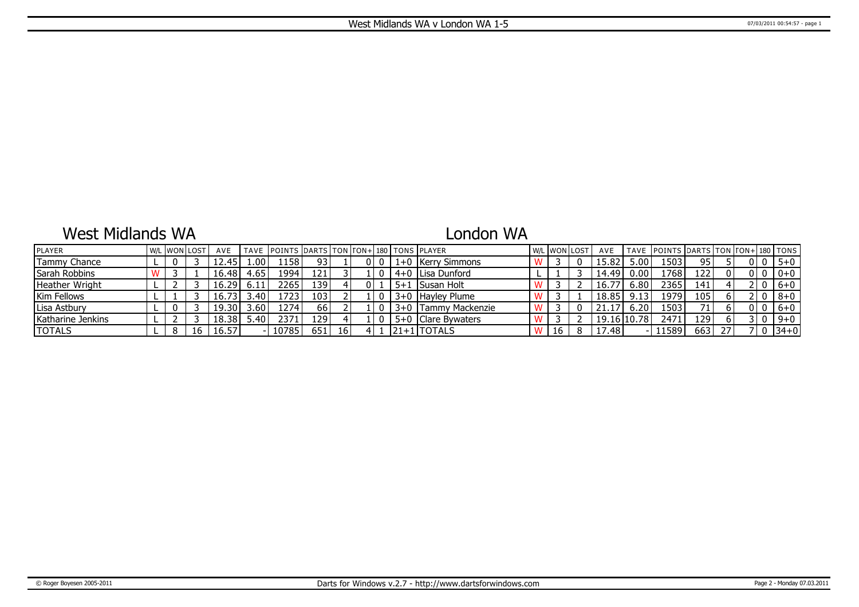## West Midlands WA

# London WA

| <b>IPLAYER</b>    |  | W/L WON LOST | AVE   |              | TAVE   POINTS   DARTS   TON   TON+   180   TONS   PLAYER |       |                 |  |         |                       | W/L WON LOST | AVE         |       | TAVE POINTS DARTS TON TON+ 180 TONS |                  |    |  |          |
|-------------------|--|--------------|-------|--------------|----------------------------------------------------------|-------|-----------------|--|---------|-----------------------|--------------|-------------|-------|-------------------------------------|------------------|----|--|----------|
| Tammy Chance      |  |              | :2.45 | 1.00'        | 1158'                                                    | 93    |                 |  |         | 1+0 Kerry Simmons     |              | 15.82       | .001  | 1503                                | 95               |    |  | $5 + 0$  |
| Sarah Robbins     |  |              | 16.48 | 4.65         | 1994                                                     | 121 I |                 |  |         | 4+0 I Lisa Dunford    |              | 14.49       | 0.001 | 1768                                | 122              |    |  | $0+0$    |
| Heather Wright    |  |              | 16.29 |              | 2265                                                     | 139   |                 |  | $5 + 1$ | I Susan Holt          |              | 16.77       | 6.80  | 2365                                | 141              |    |  | $6+0$    |
| Kim Fellows       |  |              | 16.73 | $3.40^\circ$ | 1723'                                                    | 103   |                 |  |         | 3+0 Hayley Plume      |              | 18.85       | 9.13  | 1979                                | 105              |    |  | 8+0      |
| Lisa Astbury      |  |              | 19.30 | 3.60         | 1274                                                     | .66'  |                 |  |         | 3+0   Tammy Mackenzie |              | 21.17       | 6.20  | 1503                                | 71               |    |  | $6+0$    |
| Katharine Jenkins |  |              | 18.38 |              | 2371                                                     | 129   |                 |  |         | 5+0 Clare Bywaters    |              | 19.16 10.78 |       | 2471                                | 129 <sup>1</sup> |    |  | $9 + 0$  |
| <b>TOTALS</b>     |  | 16           | 16.57 |              | 10785                                                    | 651 l | 16 <sup>1</sup> |  |         | l21+1 TOTALS          | 16           | 17.48       |       | 11589                               | 663              | 27 |  | $ 34+0 $ |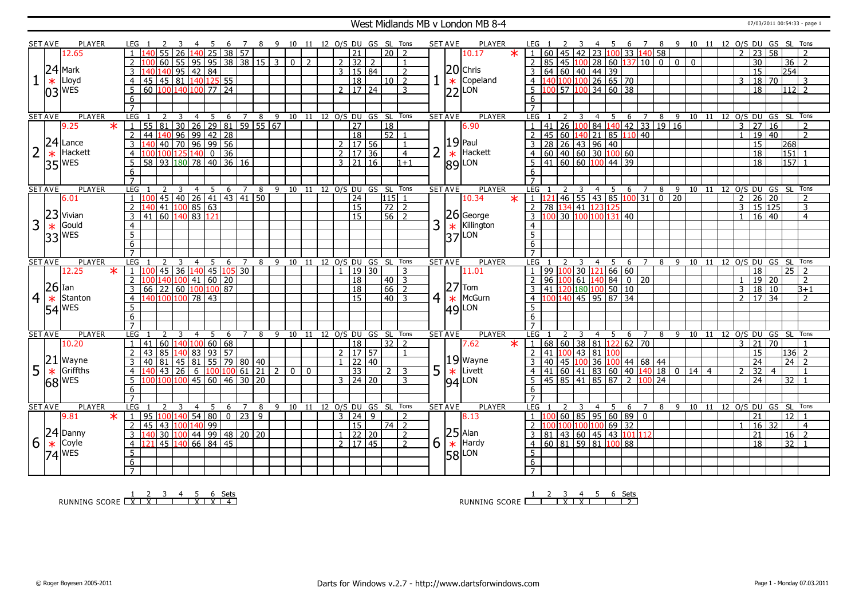### West Midlands MB v London MB 8-4 07/03/2011 00:54:33 - page 1

|                | <b>SET AVE</b> | <b>PLAYER</b> |                   | LEG 1           |                                                                                                                  |                |                                                          |                 |                 |                 | 8                   |                |                |              |              |                     | 9 10 11 12 O/S DU GS SL Tons |                 |                | SET AVE        |        | <b>PLAYER</b>                                                                      |        |                  |                   |                |                |                  | - 5                                                  | 6 7 8 9 10 11 12 O/S DU GS SL Tons                                                    |   |    |                                |       |                |                     |                 |                 |                |
|----------------|----------------|---------------|-------------------|-----------------|------------------------------------------------------------------------------------------------------------------|----------------|----------------------------------------------------------|-----------------|-----------------|-----------------|---------------------|----------------|----------------|--------------|--------------|---------------------|------------------------------|-----------------|----------------|----------------|--------|------------------------------------------------------------------------------------|--------|------------------|-------------------|----------------|----------------|------------------|------------------------------------------------------|---------------------------------------------------------------------------------------|---|----|--------------------------------|-------|----------------|---------------------|-----------------|-----------------|----------------|
|                |                | 12.65         |                   |                 |                                                                                                                  | 55             | 26                                                       | $\overline{25}$ | 38              | $\overline{57}$ |                     |                |                |              |              | 21                  |                              | $\overline{20}$ | $\mathcal{D}$  |                |        | 10.17                                                                              | $\ast$ |                  |                   |                |                |                  |                                                      | 60 45 42 23 100 33 140 58                                                             |   |    |                                |       | $\overline{2}$ | $\overline{23}$     | 58              |                 |                |
|                |                |               |                   | 2               |                                                                                                                  | 60             | 55<br>95                                                 |                 |                 |                 | $95 \ 38 \ 38 \ 15$ | $\overline{3}$ | $\overline{0}$ | <sup>2</sup> |              | $2 \mid 32 \mid$    | 2                            |                 | $\overline{1}$ |                |        |                                                                                    |        |                  |                   |                |                |                  |                                                      | 85 45 100 28 60 137 10 0 0 0                                                          |   |    |                                |       |                | $\overline{30}$     |                 | 36              | $\overline{z}$ |
|                | 24             | Mark          |                   |                 |                                                                                                                  | 140            | 95   42   84                                             |                 |                 |                 |                     |                |                |              |              | 3   15   84         |                              |                 | $\overline{2}$ |                |        | $ 20 $ Chris                                                                       |        | 3                |                   |                |                |                  |                                                      |                                                                                       |   |    |                                |       |                | $\overline{15}$     |                 | 254             |                |
|                |                | Lloyd         |                   |                 |                                                                                                                  |                |                                                          |                 |                 |                 |                     |                |                |              |              |                     |                              |                 |                |                |        |                                                                                    |        |                  | $64$ 60 40 44 39  |                |                |                  |                                                      |                                                                                       |   |    |                                |       |                |                     |                 |                 |                |
|                | $\ast$         |               |                   | $\overline{4}$  | 45 45 81 140 125 55                                                                                              |                |                                                          |                 |                 |                 |                     |                |                |              |              | 18                  |                              | 10              | $\overline{2}$ |                | $\ast$ | Copeland                                                                           |        | $\overline{4}$   |                   |                |                |                  | 140 100 100 26 65 70                                 |                                                                                       |   |    |                                |       | 3              | 18 70               |                 |                 | 3              |
|                |                | $03$ WES      |                   | 5               | 60 100 140 100 77 24                                                                                             |                |                                                          |                 |                 |                 |                     |                |                |              |              | 2   17   24         |                              |                 | 3              |                |        | $ 22 $ LON                                                                         |        | $\overline{5}$   |                   |                |                |                  | 100 57 100 34 60 38                                  |                                                                                       |   |    |                                |       |                | 18                  |                 | 112 2           |                |
|                |                |               |                   | 6               |                                                                                                                  |                |                                                          |                 |                 |                 |                     |                |                |              |              |                     |                              |                 |                |                |        |                                                                                    |        | 6                |                   |                |                |                  |                                                      |                                                                                       |   |    |                                |       |                |                     |                 |                 |                |
|                |                |               |                   | $\overline{7}$  |                                                                                                                  |                |                                                          |                 |                 |                 |                     |                |                |              |              |                     |                              |                 |                |                |        |                                                                                    |        |                  |                   |                |                |                  |                                                      |                                                                                       |   |    |                                |       |                |                     |                 |                 |                |
|                | <b>SET AVE</b> | <b>PLAYER</b> |                   | LEG             |                                                                                                                  |                | 3<br>$\overline{4}$                                      | 5               | 6               | $\overline{7}$  | 8                   | $-9$           |                |              |              |                     | 10 11 12 O/S DU GS SL Tons   |                 |                | <b>SET AVE</b> |        | <b>PLAYER</b>                                                                      |        | LEG              |                   |                |                | $4 \overline{5}$ |                                                      | $6 \overline{7}$                                                                      |   |    | 8 9 10 11 12 0/S DU GS SL Tons |       |                |                     |                 |                 |                |
|                |                | 9.25          | $\overline{\ast}$ | $\mathbf{1}$    | 55   81   30   26   29   81   59   55   67<br>  44   140   96   99   42   28  <br>  140   40   70   96   99   56 |                |                                                          |                 |                 |                 |                     |                |                |              |              | $\overline{27}$     |                              | $\overline{18}$ |                |                |        | 6.90                                                                               |        |                  | 41 26 100         |                |                |                  |                                                      | 84 140 42 33 19 16                                                                    |   |    |                                |       | $\overline{3}$ | $\overline{27}$     | $\overline{16}$ |                 |                |
|                |                |               |                   | $\overline{2}$  |                                                                                                                  |                |                                                          |                 |                 |                 |                     |                |                |              |              | $\overline{18}$     |                              | $\overline{52}$ |                |                |        |                                                                                    |        | $\overline{2}$   |                   |                |                |                  |                                                      | 45 60 140 21 85 110 40                                                                |   |    |                                |       | $\overline{1}$ | 19   40             |                 |                 | $\overline{2}$ |
|                | 24             | Lance         |                   | 3               |                                                                                                                  |                |                                                          |                 |                 |                 |                     |                |                |              |              | 2   17   56         |                              |                 | $\overline{1}$ |                |        |                                                                                    |        | $\overline{3}$   | 28 26 43 96 40    |                |                |                  |                                                      |                                                                                       |   |    |                                |       |                | 15                  |                 | 268             |                |
|                | $\ast$         | Hackett       |                   | $\overline{4}$  | 100 100 125 140 0                                                                                                |                |                                                          |                 | $\overline{36}$ |                 |                     |                |                |              |              | $2 \mid 17 \mid 36$ |                              |                 | $\overline{4}$ | $\overline{2}$ |        | Hackett                                                                            |        |                  |                   |                |                |                  | $4 \ 60 \ 40 \ 60 \ 30 \ 100 \ 60$                   |                                                                                       |   |    |                                |       |                | 18                  |                 | 151             |                |
|                | 35             | <b>WES</b>    |                   | 5               | 58 93 180 78 40 36 16                                                                                            |                |                                                          |                 |                 |                 |                     |                |                |              |              | $3 \mid 21 \mid 16$ |                              |                 | $1 + 1$        |                |        | $\begin{array}{c} 19 \text{ Paul} \\ * \text{ Hack} \\ 89 \text{ LON} \end{array}$ |        |                  |                   |                |                |                  | $5 \mid 41 \mid 60 \mid 60 \mid 100 \mid 44 \mid 39$ |                                                                                       |   |    |                                |       |                | $\overline{18}$     |                 | $157$ 1         |                |
|                |                |               |                   | 6               |                                                                                                                  |                |                                                          |                 |                 |                 |                     |                |                |              |              |                     |                              |                 |                |                |        |                                                                                    |        | 6                |                   |                |                |                  |                                                      |                                                                                       |   |    |                                |       |                |                     |                 |                 |                |
|                |                |               |                   | $\overline{7}$  |                                                                                                                  |                |                                                          |                 |                 |                 |                     |                |                |              |              |                     |                              |                 |                |                |        |                                                                                    |        |                  |                   |                |                |                  |                                                      |                                                                                       |   |    |                                |       |                |                     |                 |                 |                |
|                | <b>SET AVE</b> | <b>PLAYER</b> |                   | LEG             |                                                                                                                  |                | $\overline{4}$<br>3                                      | - 5             | 6               | $\overline{7}$  | $\overline{8}$      |                |                |              |              |                     | 9 10 11 12 0/S DU GS SL Tons |                 |                | <b>SET AVE</b> |        | <b>PLAYER</b>                                                                      |        | LEG <sub>1</sub> |                   |                |                | 4 5              |                                                      | 6 7                                                                                   |   |    | 8 9 10 11 12 O/S DU GS SL Tons |       |                |                     |                 |                 |                |
|                |                | 6.01          |                   | 1 1100          |                                                                                                                  |                |                                                          |                 |                 |                 |                     |                |                |              |              | $\overline{24}$     |                              | 115 1           |                |                |        | 10.34                                                                              | $\ast$ |                  |                   |                |                |                  |                                                      | $1 \vert 121 \vert 46 \vert 55 \vert 43 \vert 85 \vert 100 \vert 31 \vert 0 \vert 20$ |   |    |                                |       |                | $2 \mid 26 \mid 20$ |                 |                 | 2              |
|                |                |               |                   |                 |                                                                                                                  |                | 45   40   26   41   43   41   50<br>  41   100   85   63 |                 |                 |                 |                     |                |                |              |              | $\overline{15}$     |                              |                 |                |                |        |                                                                                    |        |                  |                   |                |                |                  |                                                      |                                                                                       |   |    |                                |       |                | 15 125              |                 |                 |                |
|                | 23             | Vivian        |                   | $\overline{2}$  |                                                                                                                  |                |                                                          |                 |                 |                 |                     |                |                |              |              |                     |                              | $72$   2        |                |                |        | $ 26 $ George                                                                      |        | $\overline{2}$   | 78 134 41 123 125 |                |                |                  |                                                      |                                                                                       |   |    |                                |       | $\overline{3}$ |                     |                 |                 | 3              |
|                |                |               |                   | 3               | 41                                                                                                               |                | 60 140 83 121                                            |                 |                 |                 |                     |                |                |              |              | 15                  |                              | 56              | $\overline{z}$ |                |        |                                                                                    |        |                  |                   |                |                |                  | 100 30 100 100 131 40                                |                                                                                       |   |    |                                |       |                | $16 \mid 40$        |                 |                 | $\overline{4}$ |
| 3              | $\ast$         | Gould         |                   | $\overline{4}$  |                                                                                                                  |                |                                                          |                 |                 |                 |                     |                |                |              |              |                     |                              |                 |                | 3              | $\ast$ | Killington                                                                         |        | $\overline{4}$   |                   |                |                |                  |                                                      |                                                                                       |   |    |                                |       |                |                     |                 |                 |                |
|                | 33             | <b>WES</b>    |                   | $\overline{5}$  |                                                                                                                  |                |                                                          |                 |                 |                 |                     |                |                |              |              |                     |                              |                 |                |                | 37     | LON                                                                                |        | 5                |                   |                |                |                  |                                                      |                                                                                       |   |    |                                |       |                |                     |                 |                 |                |
|                |                |               |                   | 6               |                                                                                                                  |                |                                                          |                 |                 |                 |                     |                |                |              |              |                     |                              |                 |                |                |        |                                                                                    |        | 6                |                   |                |                |                  |                                                      |                                                                                       |   |    |                                |       |                |                     |                 |                 |                |
|                |                |               |                   | $\overline{7}$  |                                                                                                                  |                |                                                          |                 |                 |                 |                     |                |                |              |              |                     |                              |                 |                |                |        |                                                                                    |        | $\overline{7}$   |                   |                |                |                  |                                                      |                                                                                       |   |    |                                |       |                |                     |                 |                 |                |
|                |                |               |                   |                 |                                                                                                                  |                |                                                          |                 |                 |                 |                     |                |                |              |              |                     |                              |                 |                |                |        |                                                                                    |        |                  |                   |                |                |                  |                                                      |                                                                                       |   |    |                                |       |                |                     |                 |                 |                |
|                | <b>SET AVE</b> | <b>PLAYER</b> |                   | <b>LEG</b>      |                                                                                                                  | $\mathcal{L}$  | 3<br>4                                                   | -5              | 6               | 7               | 8                   | 9              | 10             | 11           |              | 12 0/S DU           | $GS$ $SL$                    |                 | Tons           | <b>SET AVE</b> |        | <b>PLAYER</b>                                                                      |        | <b>LEG</b>       |                   |                |                | 4                | 5                                                    | 6<br>7                                                                                | 8 | -9 |                                | 10 11 |                | 12 O/S DU GS SL     |                 |                 | Tons           |
|                |                | 12.25         | $\star$           | $\overline{1}$  |                                                                                                                  |                | 45 36 140 45 105 30                                      |                 |                 |                 |                     |                |                |              | $\mathbf{1}$ | 19 30               |                              |                 | 3              |                |        | 11.01                                                                              |        | $\mathbf{1}$     |                   |                |                |                  | 99 100 30 121 66 60                                  |                                                                                       |   |    |                                |       |                | 18                  |                 | 25              | $\overline{z}$ |
|                |                |               |                   | $\overline{2}$  | 100 140 100 41 60 20                                                                                             |                |                                                          |                 |                 |                 |                     |                |                |              |              | 18                  |                              | $40$   3        |                |                |        |                                                                                    |        | $\overline{2}$   |                   |                |                |                  |                                                      | $96 \vert 100 \vert 61 \vert 140 \vert 84 \vert 0 \vert 20$                           |   |    |                                |       | $\mathbf{1}$   | 19 20               |                 |                 | $\overline{2}$ |
|                | $26$ Ian       |               |                   | 3               | $66$   22   60 $\sqrt{100}$ 100   87                                                                             |                |                                                          |                 |                 |                 |                     |                |                |              |              | 18                  |                              | $66$   2        |                |                |        | $ 27 $ Tom                                                                         |        | 3                |                   |                |                |                  | $\frac{141}{120}$ 180 100 50 10                      |                                                                                       |   |    |                                |       | 3              | $18$ 10             |                 |                 | $B+1$          |
|                | $\ast$         | Stanton       |                   | $\overline{4}$  | 140 100 100 78 43                                                                                                |                |                                                          |                 |                 |                 |                     |                |                |              |              | 15                  |                              | $40\vert 3$     |                |                | $\ast$ | McGurn                                                                             |        |                  |                   |                |                |                  | 4 100 140 45 95 87 34                                |                                                                                       |   |    |                                |       |                | $2 \mid 17 \mid 34$ |                 |                 | $\overline{2}$ |
| $\overline{4}$ |                | <b>WES</b>    |                   | $5\overline{)}$ |                                                                                                                  |                |                                                          |                 |                 |                 |                     |                |                |              |              |                     |                              |                 |                | $\overline{4}$ |        |                                                                                    |        | 5                |                   |                |                |                  |                                                      |                                                                                       |   |    |                                |       |                |                     |                 |                 |                |
|                | 54             |               |                   | $6 \overline{}$ |                                                                                                                  |                |                                                          |                 |                 |                 |                     |                |                |              |              |                     |                              |                 |                |                |        | $ 49 $ LON                                                                         |        | $6 \overline{}$  |                   |                |                |                  |                                                      |                                                                                       |   |    |                                |       |                |                     |                 |                 |                |
|                |                |               |                   | $\overline{7}$  |                                                                                                                  |                |                                                          |                 |                 |                 |                     |                |                |              |              |                     |                              |                 |                |                |        |                                                                                    |        |                  |                   |                |                |                  |                                                      |                                                                                       |   |    |                                |       |                |                     |                 |                 |                |
|                | <b>SET AVE</b> | PLAYER        |                   | <b>LEG</b>      |                                                                                                                  | $\overline{2}$ | $\mathbf{R}$<br>$\overline{4}$                           | -5              | 6               | $\overline{7}$  | 8                   | 9              | 10             | 11           |              |                     | 12 O/S DU GS SL Tons         |                 |                | <b>SET AVE</b> |        | PLAYER                                                                             |        | LEG <sub>1</sub> |                   | $\overline{2}$ | $\overline{3}$ | 4 5              |                                                      | 6 7                                                                                   | 8 |    | 9 10 11 12 O/S DU GS SL Tons   |       |                |                     |                 |                 |                |
|                |                | 10.20         |                   | $\overline{1}$  | 41                                                                                                               | 60             |                                                          |                 |                 |                 |                     |                |                |              |              |                     |                              |                 | $\overline{2}$ |                |        | 7.62                                                                               | $\ast$ | $\mathbf{1}$     |                   |                |                |                  |                                                      |                                                                                       |   |    |                                |       | 3              | $\overline{21}$     | $\overline{70}$ |                 |                |
|                |                |               |                   |                 |                                                                                                                  |                | 140 100 60 68                                            |                 |                 |                 |                     |                |                |              |              | $\overline{18}$     |                              | 32              |                |                |        |                                                                                    |        |                  |                   |                |                |                  |                                                      | 68 60 38 81 122 62 70                                                                 |   |    |                                |       |                |                     |                 |                 |                |
|                |                |               |                   |                 | 43 85                                                                                                            |                | 140 83 93 57                                             |                 |                 |                 |                     |                |                |              | $\mathbf{1}$ | 2   17   57         |                              |                 |                |                |        |                                                                                    |        | 2                | 41 100 43 81      |                |                |                  |                                                      |                                                                                       |   |    |                                |       |                | 15                  |                 | $ 136 $ 2       |                |
|                | 21             | Wayne         |                   | 3               | 40   81   45   81   55   79   80   40                                                                            |                |                                                          |                 |                 |                 |                     |                |                |              |              | 22 40               |                              |                 |                |                |        | $19$ Wayne                                                                         |        | $\overline{3}$   |                   |                |                |                  |                                                      | 40 45 100 36 100 44 68 44                                                             |   |    |                                |       |                | $\overline{24}$     |                 | $\overline{24}$ |                |
| 5              | $\ast$         | Griffths      |                   | $\overline{4}$  |                                                                                                                  | $ 43\rangle$   | $\overline{26}$<br>$6\overline{}$                        |                 |                 |                 | 100 100 61 21       | $\overline{2}$ | $\overline{0}$ | $\mathbf{0}$ |              | 33                  |                              | 2 <sup>1</sup>  | 3              | 5              | $\ast$ | Livett                                                                             |        | 4                |                   |                |                |                  |                                                      | $41 \ 60 \ 41 \ 83 \ 60 \ 40 \ 140 \ 18 \ 0$                                          |   |    | 14   4                         |       | 2              | 32                  | $\overline{4}$  |                 |                |
|                | 68             | <b>WES</b>    |                   | 5 <sup>5</sup>  | 100 100 100 45 60 46 30 20                                                                                       |                |                                                          |                 |                 |                 |                     |                |                |              |              | $3 \mid 24 \mid 20$ |                              |                 | 3              |                |        | $ 94 $ LON                                                                         |        | 5                |                   |                |                |                  |                                                      | 45 85 41 85 87 2 100 24                                                               |   |    |                                |       |                | 24                  |                 | $\overline{32}$ |                |
|                |                |               |                   | 6               |                                                                                                                  |                |                                                          |                 |                 |                 |                     |                |                |              |              |                     |                              |                 |                |                |        |                                                                                    |        | 6                |                   |                |                |                  |                                                      |                                                                                       |   |    |                                |       |                |                     |                 |                 |                |
|                |                |               |                   | $\overline{7}$  |                                                                                                                  |                |                                                          |                 |                 |                 |                     |                |                |              |              |                     |                              |                 |                |                |        |                                                                                    |        |                  |                   |                |                |                  |                                                      |                                                                                       |   |    |                                |       |                |                     |                 |                 |                |
|                | <b>SET AVE</b> | <b>PLAYER</b> |                   | <b>LEG</b>      |                                                                                                                  | $\mathcal{L}$  | 3<br>$\overline{4}$                                      | 5               | 6               | $\overline{7}$  | 8                   |                |                |              |              |                     | 9 10 11 12 O/S DU GS SL      |                 | Tons           | <b>SET AVE</b> |        | <b>PLAYER</b>                                                                      |        | LEG              |                   |                | 3              | 4 5              |                                                      | 6<br>$\overline{7}$                                                                   | 8 |    | 9 10 11 12 O/S DU GS SL Tons   |       |                |                     |                 |                 |                |
|                |                | 9.81          | $\star$           | $\vert 1 \vert$ | 95   100   140   54   80                                                                                         |                |                                                          |                 | $0$ 23          |                 | $\overline{9}$      |                |                |              |              | 3 24                | $\mathbf{q}$                 |                 | $\overline{2}$ |                |        | 8.13                                                                               |        | 1 <sup>1</sup>   | 10C               |                |                |                  |                                                      | 60 85 95 60 89 0                                                                      |   |    |                                |       |                | 21                  |                 | $\overline{12}$ |                |
|                |                |               |                   | 2 <sup>1</sup>  | $\overline{45}$                                                                                                  |                | 43 100 140 99                                            |                 |                 |                 |                     |                |                |              |              | $\overline{15}$     |                              | $74$   2        |                |                |        |                                                                                    |        | $\mathcal{P}$    |                   |                |                |                  | 100 100 100 100 69 32                                |                                                                                       |   |    |                                |       | $\mathbf{1}$   | 16                  | 32              |                 | $\overline{4}$ |
|                | 24             | Danny         |                   | $\overline{3}$  |                                                                                                                  |                | 30 100 44 99 48 20 20                                    |                 |                 |                 |                     |                |                |              |              | $1 \mid 22 \mid 20$ |                              |                 | <sup>2</sup>   |                |        |                                                                                    |        |                  |                   |                |                |                  |                                                      | $3   81   43   60   45   43   101   112$                                              |   |    |                                |       |                | 21                  |                 | 16              | $\overline{z}$ |
| 6              |                | Coyle         |                   | $\overline{4}$  |                                                                                                                  |                | 45 140 66 84 45                                          |                 |                 |                 |                     |                |                |              |              | 2  17 45            |                              |                 | $\overline{2}$ | 6              |        | Hardy                                                                              |        | 4 <sup>1</sup>   |                   |                |                |                  | $60 \ 81 \ 59 \ 81 \ 100 \ 88$                       |                                                                                       |   |    |                                |       |                | $\overline{18}$     |                 | 32              |                |
|                | $\ast$         | <b>WES</b>    |                   | 5               |                                                                                                                  |                |                                                          |                 |                 |                 |                     |                |                |              |              |                     |                              |                 |                |                |        |                                                                                    |        | 5                |                   |                |                |                  |                                                      |                                                                                       |   |    |                                |       |                |                     |                 |                 |                |
|                | 74             |               |                   | 6               |                                                                                                                  |                |                                                          |                 |                 |                 |                     |                |                |              |              |                     |                              |                 |                |                |        | $\begin{array}{c} 25 \ \times \end{array}$ Hard<br>58 LON                          |        | 6                |                   |                |                |                  |                                                      |                                                                                       |   |    |                                |       |                |                     |                 |                 |                |

RUNNING SCORE <u>| X | X | X | X | X | 4</u><br>RUNNING SCORE <u>| X | X | T | X | X | 4</u>

RUNNING SCORE 1 2 3 X 4 X 5 6 Sets 2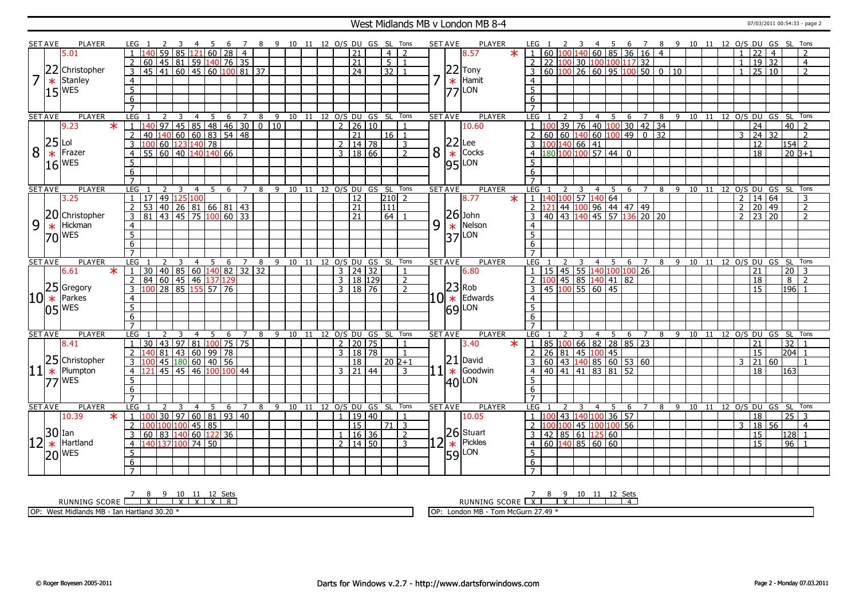#### West Midlands MB v London MB 8-4 07/03/2011 00:54:33 - page 2

|   | SET AVE        | PLAYER                | LEG            |                       |                      |                 |                                               |                | -5             |                                              |                |   |   |  |                |                     |        | 8 9 10 11 12 O/S DU GS SL Tons     |                    |    | <b>SET AVE</b>  | <b>PLAYER</b>       |        | LEG 1                       |                 |                         |                                       |                                 | 6 7      |                |    |                |         |  |                | 8 9 10 11 12 O/S DU GS SL              |                 |                 | Tons                     |  |
|---|----------------|-----------------------|----------------|-----------------------|----------------------|-----------------|-----------------------------------------------|----------------|----------------|----------------------------------------------|----------------|---|---|--|----------------|---------------------|--------|------------------------------------|--------------------|----|-----------------|---------------------|--------|-----------------------------|-----------------|-------------------------|---------------------------------------|---------------------------------|----------|----------------|----|----------------|---------|--|----------------|----------------------------------------|-----------------|-----------------|--------------------------|--|
|   |                | 5.01                  |                |                       | 59                   | 85              | 121                                           |                |                | 60 28                                        | $\overline{4}$ |   |   |  |                | 21                  |        | $\overline{4}$                     | $\overline{z}$     |    |                 | 8.57                | $\ast$ | $\blacksquare$              |                 |                         |                                       | 60 100 140 60 85 36 16 4        |          |                |    |                |         |  |                | 22                                     | $\overline{4}$  |                 | $\overline{\phantom{0}}$ |  |
|   |                |                       | 2              | 60                    |                      |                 |                                               |                |                | 45 81 59 140 76 35                           |                |   |   |  |                | 21                  |        | $\overline{5}$                     | $\overline{1}$     |    |                 |                     |        | $\overline{2}$              |                 |                         | 22 100 30 100 100                     |                                 | $117$ 32 |                |    |                |         |  |                | $\overline{19}$                        | $\overline{32}$ |                 | $\overline{4}$           |  |
|   | 22             | Christopher           | $\overline{3}$ |                       |                      |                 | $45 \mid 41 \mid 60 \mid 45 \mid 60 \mid 100$ |                |                |                                              | 81 37          |   |   |  |                | $\overline{24}$     |        | 32                                 |                    |    |                 | $22$ Tony           |        | 3                           | $60 \ 100 \ 26$ |                         | $60$ 95                               |                                 | 100      | 500            |    | 10             |         |  |                | $\overline{25}$                        | 10              |                 | $\overline{2}$           |  |
|   |                | Stanley               | $\overline{4}$ |                       |                      |                 |                                               |                |                |                                              |                |   |   |  |                |                     |        |                                    |                    |    |                 | Hamit               |        | $\overline{4}$              |                 |                         |                                       |                                 |          |                |    |                |         |  |                |                                        |                 |                 |                          |  |
|   | $\ast$         |                       |                |                       |                      |                 |                                               |                |                |                                              |                |   |   |  |                |                     |        |                                    |                    |    | $\ast$          |                     |        |                             |                 |                         |                                       |                                 |          |                |    |                |         |  |                |                                        |                 |                 |                          |  |
|   | 15             | <b>WES</b>            | $\overline{5}$ |                       |                      |                 |                                               |                |                |                                              |                |   |   |  |                |                     |        |                                    |                    |    |                 | $ 77 $ LON          |        | $\overline{5}$              |                 |                         |                                       |                                 |          |                |    |                |         |  |                |                                        |                 |                 |                          |  |
|   |                |                       | 6              |                       |                      |                 |                                               |                |                |                                              |                |   |   |  |                |                     |        |                                    |                    |    |                 |                     |        | 6                           |                 |                         |                                       |                                 |          |                |    |                |         |  |                |                                        |                 |                 |                          |  |
|   |                |                       | $\overline{7}$ |                       |                      |                 |                                               |                |                |                                              |                |   |   |  |                |                     |        |                                    |                    |    |                 |                     |        |                             |                 |                         |                                       |                                 |          |                |    |                |         |  |                |                                        |                 |                 |                          |  |
|   | <b>SET AVE</b> | <b>PLAYER</b>         | LEG            |                       | 2<br>$\overline{97}$ | $\overline{3}$  | $\overline{4}$                                |                | $\overline{5}$ |                                              |                |   |   |  |                |                     |        | 6 7 8 9 10 11 12 O/S DU GS SL Tons |                    |    | <b>SET AVE</b>  | <b>PLAYER</b>       |        | LEG 1                       | <sup>2</sup>    | $\overline{\mathbf{3}}$ |                                       |                                 |          |                |    |                |         |  |                | 4 5 6 7 8 9 10 11 12 O/S DU GS SL Tons |                 |                 | $\overline{2}$           |  |
|   |                | 9.23<br>$\star$       | $\overline{1}$ |                       |                      |                 |                                               |                |                | 97 45 85 48 46 30 0 10<br>140 60 60 83 54 48 |                |   |   |  |                | 2   26   10         |        |                                    |                    |    |                 | 10.60               |        |                             |                 |                         |                                       | 39 76 40 100 30 42 34           |          |                |    |                |         |  |                | $\overline{24}$                        |                 | 40              |                          |  |
|   | 25             |                       | $\overline{2}$ | 40                    |                      |                 |                                               |                |                |                                              |                |   |   |  |                | 21                  |        | 16 <sup>1</sup>                    |                    |    |                 |                     |        |                             |                 |                         | $60$ 60 140 60 100                    |                                 | 49       | $\mathbf{0}$   | 32 |                |         |  | 3              | 24                                     | 32              |                 | $\overline{2}$           |  |
|   |                | Lol                   | 3              |                       |                      |                 | 100 60 123 140 78                             |                |                |                                              |                |   |   |  |                | 2   14   78         |        |                                    | 3                  |    | 22              | Lee                 |        |                             |                 | .00 140 66 41           |                                       |                                 |          |                |    |                |         |  |                | $\overline{12}$                        |                 |                 | $154$ 2                  |  |
| 8 | $\ast$         | Frazer                | $\overline{4}$ |                       |                      |                 | $55 \ 60 \ 40 \ 140 \ 140 \ 66$               |                |                |                                              |                |   |   |  |                | 3   18   66         |        |                                    | $\overline{2}$     | 8  | $\ast$          | Cocks               |        | $\overline{4}$              |                 |                         |                                       | $\frac{180}{100}$ 100 57 44 0   |          |                |    |                |         |  |                | $\overline{18}$                        |                 |                 | $20B+1$                  |  |
|   |                | $16$ WES              | 5              |                       |                      |                 |                                               |                |                |                                              |                |   |   |  |                |                     |        |                                    |                    |    |                 | $ 95 $ LON          |        | 5                           |                 |                         |                                       |                                 |          |                |    |                |         |  |                |                                        |                 |                 |                          |  |
|   |                |                       | 6              |                       |                      |                 |                                               |                |                |                                              |                |   |   |  |                |                     |        |                                    |                    |    |                 |                     |        | 6                           |                 |                         |                                       |                                 |          |                |    |                |         |  |                |                                        |                 |                 |                          |  |
|   |                |                       | $\overline{7}$ |                       |                      |                 |                                               |                |                |                                              |                |   |   |  |                |                     |        |                                    |                    |    |                 |                     |        | $\overline{7}$              |                 |                         |                                       |                                 |          |                |    |                |         |  |                |                                        |                 |                 |                          |  |
|   | <b>SET AVE</b> | PLAYER                | <b>LEG</b>     |                       | $\mathcal{P}$        |                 | $\overline{4}$                                |                | 5              | 6                                            | $\overline{7}$ | 8 | 9 |  |                |                     |        | 10 11 12 0/S DU GS SL Tons         |                    |    | <b>SET AVE</b>  | <b>PLAYER</b>       |        | LEG                         |                 | 3                       | 4                                     | - 5                             | 6        | 7              | 8  |                | 9 10 11 |  |                | 12 O/S DU GS SL                        |                 |                 | Tons                     |  |
|   |                | 3.25                  | $\mathbf{1}$   | 17                    | 49 125               |                 | 100                                           |                |                |                                              |                |   |   |  |                | 12                  |        | $210$ 2                            |                    |    |                 | 8.77                | $\ast$ | $1 \t140 \t100 \t57 \t140$  |                 |                         |                                       | 64                              |          |                |    |                |         |  | $\overline{2}$ | $14 64$                                |                 |                 | $\overline{3}$           |  |
|   |                |                       | 2              | 53                    |                      |                 |                                               |                |                | 40 26 81 66 81 43                            |                |   |   |  |                | $\overline{21}$     |        | 111                                |                    |    |                 |                     |        | 2                           |                 |                         |                                       | 44 100 96 44 47 49              |          |                |    |                |         |  | $\overline{2}$ | $\overline{20}$ 49                     |                 |                 | $\overline{2}$           |  |
|   |                | 20 Christopher        | $\overline{3}$ | 81 43 45 75 100 60 33 |                      |                 |                                               |                |                |                                              |                |   |   |  |                | $\overline{21}$     |        | $\overline{64}$                    |                    |    |                 | $26$ John           |        |                             |                 |                         |                                       | 40 43 140 45 57 136 20 20       |          |                |    |                |         |  |                | $2$ 23 20                              |                 |                 | $\overline{2}$           |  |
| 9 | $\ast$         | Hickman               | $\overline{4}$ |                       |                      |                 |                                               |                |                |                                              |                |   |   |  |                |                     |        |                                    |                    | 9  | $\ast$          | Nelson              |        | $\overline{4}$              |                 |                         |                                       |                                 |          |                |    |                |         |  |                |                                        |                 |                 |                          |  |
|   |                | $70$ WES              | $\overline{5}$ |                       |                      |                 |                                               |                |                |                                              |                |   |   |  |                |                     |        |                                    |                    |    | $\overline{37}$ | LON                 |        | $\overline{5}$              |                 |                         |                                       |                                 |          |                |    |                |         |  |                |                                        |                 |                 |                          |  |
|   |                |                       | 6              |                       |                      |                 |                                               |                |                |                                              |                |   |   |  |                |                     |        |                                    |                    |    |                 |                     |        | 6                           |                 |                         |                                       |                                 |          |                |    |                |         |  |                |                                        |                 |                 |                          |  |
|   |                |                       | $\overline{7}$ |                       |                      |                 |                                               |                |                |                                              |                |   |   |  |                |                     |        |                                    |                    |    |                 |                     |        |                             |                 |                         |                                       |                                 |          |                |    |                |         |  |                |                                        |                 |                 |                          |  |
|   | <b>SET AVE</b> | PLAYER                | LEG            |                       | $\overline{2}$       | 3               |                                               | 4 <sub>5</sub> |                |                                              | 6 7            |   |   |  |                |                     |        | 8 9 10 11 12 0/S DU GS SL Tons     |                    |    | <b>SET AVE</b>  | <b>PLAYER</b>       |        | LEG                         |                 |                         | 4 <sub>5</sub>                        |                                 | 6 7      |                |    |                |         |  |                | 8 9 10 11 12 O/S DU GS SL Tons         |                 |                 |                          |  |
|   |                | $\ast$<br>6.61        | $\overline{1}$ |                       |                      |                 |                                               |                |                | $30   40   85   60   140   82   32   32$     |                |   |   |  |                | $3 \mid 24 \mid 32$ |        |                                    |                    |    |                 | 6.80                |        |                             |                 |                         |                                       | 15 45 55 140 100 100 26         |          |                |    |                |         |  |                | 21                                     |                 | 20              | $\mathbf{3}$             |  |
|   |                |                       | $\overline{2}$ |                       |                      |                 | 84 60 45 46 137 129                           |                |                |                                              |                |   |   |  | 3 <sup>1</sup> |                     | 18 129 |                                    | 2                  |    |                 |                     |        |                             |                 |                         |                                       | 45 85 140 41 82                 |          |                |    |                |         |  |                | 18                                     |                 | 8               | $\overline{z}$           |  |
|   |                | 25 Gregory            | 3              |                       |                      |                 | 28 85 155 57 76                               |                |                |                                              |                |   |   |  |                | 3   18   76         |        |                                    | $\overline{2}$     |    |                 | $ 23 $ Rob          |        |                             |                 |                         | $\frac{200}{100}$ 55 60 45            |                                 |          |                |    |                |         |  |                | 15                                     |                 | 196             |                          |  |
|   |                | $10*$ Parkes          | $\overline{4}$ |                       |                      |                 |                                               |                |                |                                              |                |   |   |  |                |                     |        |                                    |                    | 10 |                 | $\star$ Edwards     |        | $\overline{4}$              |                 |                         |                                       |                                 |          |                |    |                |         |  |                |                                        |                 |                 |                          |  |
|   |                |                       | $\overline{5}$ |                       |                      |                 |                                               |                |                |                                              |                |   |   |  |                |                     |        |                                    |                    |    |                 | LON                 |        | 5 <sup>5</sup>              |                 |                         |                                       |                                 |          |                |    |                |         |  |                |                                        |                 |                 |                          |  |
|   |                | $ 05 $ <sup>WES</sup> | 6              |                       |                      |                 |                                               |                |                |                                              |                |   |   |  |                |                     |        |                                    |                    |    | 69              |                     |        | $6 \overline{6}$            |                 |                         |                                       |                                 |          |                |    |                |         |  |                |                                        |                 |                 |                          |  |
|   |                |                       | $\overline{7}$ |                       |                      |                 |                                               |                |                |                                              |                |   |   |  |                |                     |        |                                    |                    |    |                 |                     |        | $\overline{7}$              |                 |                         |                                       |                                 |          |                |    |                |         |  |                |                                        |                 |                 |                          |  |
|   | <b>SET AVE</b> | PLAYER                | LEG            |                       | $\mathcal{P}$        | 3               | $\overline{4}$                                |                | -5             | 6                                            | 7              |   |   |  |                |                     |        | 8 9 10 11 12 0/S DU GS SL Tons     |                    |    | <b>SET AVE</b>  | PLAYER              |        | <b>LEG</b>                  |                 | 3                       | 4                                     | 5                               | 6        | 7              |    |                |         |  |                | 8 9 10 11 12 0/S DU GS SL              |                 |                 | Tons                     |  |
|   |                | 8.41                  | 1              | 30                    | 43                   | $\overline{97}$ | 81                                            |                |                | $100$ 75 75                                  |                |   |   |  |                | $2 \mid 20 \mid 75$ |        |                                    | -1                 |    |                 | 3.40                | $\ast$ | -1                          |                 |                         | 85 100 66 82                          | 28 85 23                        |          |                |    |                |         |  |                | 21                                     |                 | 32              |                          |  |
|   |                |                       | 2              |                       | 81                   | $ 43\rangle$    |                                               |                |                |                                              |                |   |   |  |                | $3 \mid 18 \mid 78$ |        |                                    |                    |    |                 |                     |        | $\overline{2}$              |                 | 26 81 45 100            |                                       |                                 |          |                |    |                |         |  |                | 15                                     |                 | $ 204 $ 1       |                          |  |
|   | 25             | Christopher           |                |                       |                      |                 |                                               |                |                | 60 99 78                                     |                |   |   |  |                |                     |        |                                    | $\overline{1}$     |    | 21              | David               |        |                             |                 |                         |                                       | 45                              |          |                |    |                |         |  |                |                                        |                 |                 |                          |  |
|   |                |                       | $\overline{3}$ |                       |                      |                 | 45 180 60 40 56                               |                |                |                                              |                |   |   |  |                | $\overline{18}$     |        |                                    | $20\overline{2+1}$ |    |                 |                     |        | 3                           |                 |                         |                                       | $\boxed{60}$ 43 140 85 60 53 60 |          |                |    |                |         |  | 3              | 21                                     | 60              |                 | $\overline{1}$           |  |
|   | $ 11  *$       | Plumpton              | $\overline{4}$ |                       | $45 \mid 45$         |                 |                                               |                |                | 46 100 100 44                                |                |   |   |  |                | $3 \mid 21 \mid 44$ |        |                                    | 3                  |    | $1*$            | Goodwin             |        | $\overline{4}$              |                 |                         |                                       | 40 41 41 83 81 52               |          |                |    |                |         |  |                | $\overline{18}$                        |                 | 163             |                          |  |
|   |                | 77 WES                | $\overline{5}$ |                       |                      |                 |                                               |                |                |                                              |                |   |   |  |                |                     |        |                                    |                    |    |                 | $ 40 $ LON          |        | 5                           |                 |                         |                                       |                                 |          |                |    |                |         |  |                |                                        |                 |                 |                          |  |
|   |                |                       | 6              |                       |                      |                 |                                               |                |                |                                              |                |   |   |  |                |                     |        |                                    |                    |    |                 |                     |        | 6                           |                 |                         |                                       |                                 |          |                |    |                |         |  |                |                                        |                 |                 |                          |  |
|   |                |                       | $\overline{7}$ |                       |                      |                 |                                               |                |                |                                              |                |   |   |  |                |                     |        |                                    |                    |    |                 |                     |        |                             |                 |                         |                                       |                                 |          |                |    |                |         |  |                |                                        |                 |                 |                          |  |
|   | <b>SET AVE</b> | PLAYER                | <b>LEG</b>     |                       |                      | 3               | $\overline{4}$                                |                | 5              | 6                                            | $\overline{7}$ | 8 |   |  |                |                     |        | 9 10 11 12 O/S DU GS SL Tons       |                    |    | <b>SET AVE</b>  | <b>PLAYER</b>       |        | LEG                         |                 |                         | $\overline{4}$                        | 5                               | 6        | $\overline{7}$ | 8  | $\overline{9}$ |         |  |                | 10 11 12 0/S DU GS SL Tons             |                 |                 |                          |  |
|   |                | 10.39<br>$\ast$       | $\mathbf{1}$   |                       |                      |                 |                                               |                |                | 30 97 60 81 93 40                            |                |   |   |  |                |                     | 19 40  |                                    |                    |    |                 | 10.05               |        |                             |                 |                         |                                       | 43 140 100 36 57                |          |                |    |                |         |  |                | 18                                     |                 | $\overline{25}$ | $\overline{3}$           |  |
|   |                |                       | $\overline{2}$ |                       |                      |                 | 100 100 100 45 85                             |                |                |                                              |                |   |   |  |                | 15                  |        |                                    | $\vert 71 \vert 3$ |    |                 |                     |        |                             |                 |                         |                                       | 100 45 100 100 56               |          |                |    |                |         |  | $\mathbf{3}$   |                                        | 18 56           |                 | $\overline{4}$           |  |
|   | $30$ Ian       |                       | 3              |                       |                      |                 | 60 83 140 60 122 36                           |                |                |                                              |                |   |   |  | $\mathbf{1}$   | 16 36               |        |                                    | $\overline{2}$     |    |                 | 26 Stuart           |        | 3                           |                 |                         | $42 \mid 85 \mid 61 \mid 125 \mid 60$ |                                 |          |                |    |                |         |  |                | 15                                     |                 | 128             | $\overline{1}$           |  |
|   | $\ast$         | Hartland              | $\overline{4}$ |                       |                      |                 | 140 137 100 74 50                             |                |                |                                              |                |   |   |  |                | $2 \mid 14 \mid 50$ |        |                                    | 3                  |    | $\ast$          | Pickles             |        | 4   60   140   85   60   60 |                 |                         |                                       |                                 |          |                |    |                |         |  |                | 15                                     |                 | 96              | - 1                      |  |
|   |                | $ 20 $ <sup>WES</sup> | 5              |                       |                      |                 |                                               |                |                |                                              |                |   |   |  |                |                     |        |                                    |                    |    |                 | $59$ <sup>LON</sup> |        | $5^{\circ}$                 |                 |                         |                                       |                                 |          |                |    |                |         |  |                |                                        |                 |                 |                          |  |
|   |                |                       | 6              |                       |                      |                 |                                               |                |                |                                              |                |   |   |  |                |                     |        |                                    |                    |    |                 |                     |        | 6                           |                 |                         |                                       |                                 |          |                |    |                |         |  |                |                                        |                 |                 |                          |  |
|   |                |                       | $\overline{7}$ |                       |                      |                 |                                               |                |                |                                              |                |   |   |  |                |                     |        |                                    |                    |    |                 |                     |        | $\overline{7}$              |                 |                         |                                       |                                 |          |                |    |                |         |  |                |                                        |                 |                 |                          |  |
|   |                |                       |                |                       |                      |                 |                                               |                |                |                                              |                |   |   |  |                |                     |        |                                    |                    |    |                 |                     |        |                             |                 |                         |                                       |                                 |          |                |    |                |         |  |                |                                        |                 |                 |                          |  |

<u>7 8 9 10 11 12 Sets</u><br>RUNNING SCORE <u>| X | X | X | X | X</u>

OP: West Midlands MB - Ian Hartland 30.20 \*

RUNNING SCORE 7 X 8 9 X 10 11 12 Sets 4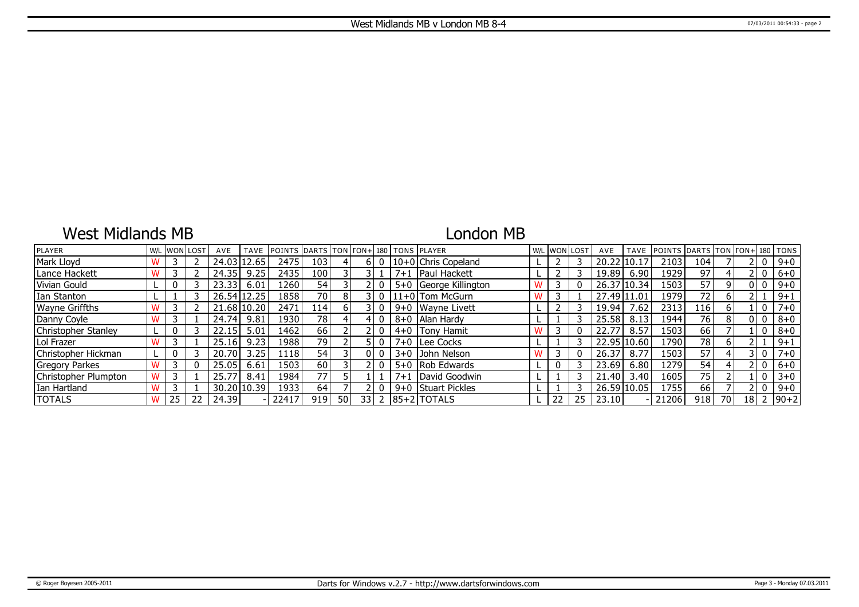## West Midlands MB

## London MB

| PLAYER                | W/L |    | . IwonIlost | AVE     | <b>TAVE</b> | <b>IPOINTS DARTS TON FON+1180 TONS PLAYER</b> |                 |       |      |   |         |                       | W/L WON LOST |    | AVE         | <b>TAVE</b> | <b>IPOINTS IDARTS ITON ITON+1180 ITONS</b> |      |    |                |                 |
|-----------------------|-----|----|-------------|---------|-------------|-----------------------------------------------|-----------------|-------|------|---|---------|-----------------------|--------------|----|-------------|-------------|--------------------------------------------|------|----|----------------|-----------------|
| Mark Lloyd            |     |    |             | 24.03   | 12.65       | 2475                                          | 103             |       | 6 I  | 0 |         | 10+0 Chris Copeland   |              |    | 20.22       | 110.17      | 2103                                       | 104  |    | 0              | $9 + 0$         |
| Lance Hackett         |     |    |             | 24.35   | 9.25        | 2435                                          | 100             |       |      |   | $7 + 1$ | <b>IPaul Hackett</b>  |              |    | 19.89       | 6.90        | 1929                                       | 97   |    | 2 I O          | $6+0$           |
| Vivian Gould          |     |    |             | 23.33   | 6.01        | 12601                                         | 54              |       |      |   |         | 5+0 George Killington |              |    | 26.37 10.34 |             | 1503                                       | 57   | q  | 0   0          | $9 + 0$         |
| Ian Stanton           |     |    |             |         | 26.54 12.25 | 1858                                          | 70              | 8     |      |   |         | $11+0$ Tom McGurn     |              |    | 27.49 11.01 |             | 1979                                       | 72   | 6  |                | $9 + 1$         |
| <b>Wayne Griffths</b> |     |    |             | 21.68 l | 10.20       | 2471                                          | 114'            | 61    |      |   |         | 9+0 Wavne Livett      |              |    | 19.94       | .62         | 2313                                       | ا 16 | 6  | $\Omega$       | $7 + 0$         |
| Danny Coyle           |     |    |             | 24.74   | 9.81        | 19301                                         | 78              |       | 4    |   |         | 8+0   Alan Hardy      |              |    | 25.58       | 8.13        | 1944                                       | 76   | 8  | 0   0          | $8 + 0$         |
| Christopher Stanley   |     |    |             | 22.15   | 5.01        | 1462                                          | 66              |       |      |   |         | $4+0$ Tony Hamit      |              |    | 22.77       | 8.57        | 1503                                       | 66   |    | $\overline{0}$ | $8 + 0$         |
| Lol Frazer            |     |    |             | 25.16   | 9.23        | 1988                                          | 79              |       |      |   |         | 7+0 Lee Cocks         |              |    |             | 22.95 10.60 | L790                                       | 78   | 6  |                | $9 + 1$         |
| Christopher Hickman   |     |    |             | 20.70   | 3.25        | 11181                                         | 54              |       | 01   |   |         | 3+0 John Nelson       |              |    | 26.37       | 8.77        | 1503                                       | 57   |    | 3 I O          | $7 + 0$         |
| <b>Gregory Parkes</b> |     |    |             | 25.05   | 6.61        | 1503                                          | 60              |       |      |   |         | 5+0 Rob Edwards       |              |    | 23.69       | 6.80        | 1279.                                      | 54   |    | 0              | $6 + 0$         |
| Christopher Plumpton  |     |    |             | 25.77   | 8.41        | 1984                                          | 77 <sub>1</sub> |       |      |   | $7 + 1$ | David Goodwin         |              |    | 21.40       | 3.40        | 1605                                       | 75   |    | 0              | $3 + 0$         |
| Ian Hartland          |     |    |             |         | 30.20 10.39 | 19331                                         | 64              |       |      |   | $9 + 0$ | Stuart Pickles        |              |    | 26.59 10.05 |             | 1755                                       | 66   |    | $\mathbf{0}$   | $9 + 0$         |
| <b>TOTALS</b>         |     | 25 | 22          | 24.39   |             | 22417                                         | 919             | -50 l | 33 I |   |         | $2$  85+2   TOTALS    | 22           | 25 | 23.10       |             | 21206                                      | 918  | 70 |                | $18$   2   90+2 |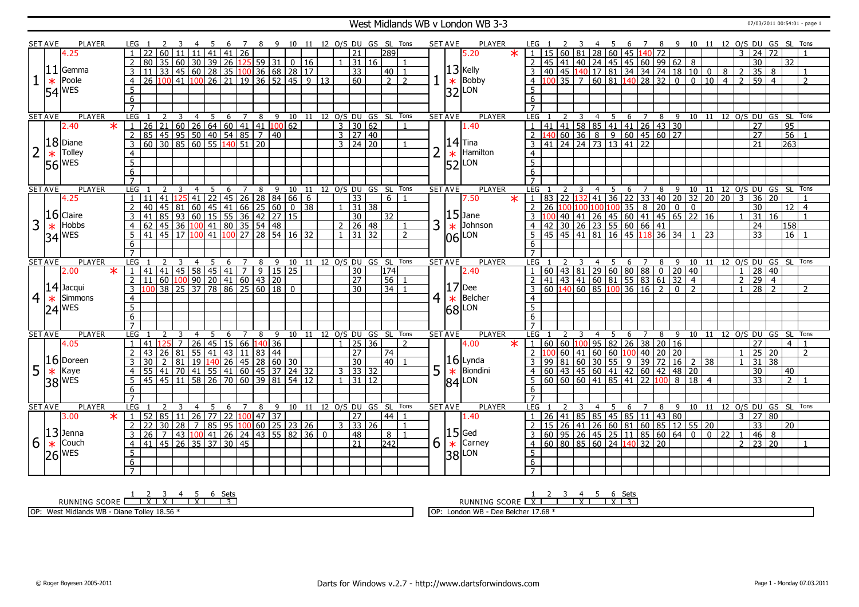### West Midlands WB v London WB 3-3 07/03/2011 00:54:01 - page 1

|                | <b>SET AVE</b> | PLAYER                |        | LEG 1                             |                                                       |             |                                                                                                                           |                |                 |                 |         |                  |    |                   |                                 | - 11            |                 |                |                     |                     | 12 O/S DU GS SL Tons         |                |   | <b>SET AVE</b>               | PLAYER              |         | LEG                              |    |                      |                |                 |    |              |                                                                                               |        | -8              | -9                      |                                                                                        |                 |                   |                |                 | 10 11 12 O/S DU GS SL Tons             |                 |                |
|----------------|----------------|-----------------------|--------|-----------------------------------|-------------------------------------------------------|-------------|---------------------------------------------------------------------------------------------------------------------------|----------------|-----------------|-----------------|---------|------------------|----|-------------------|---------------------------------|-----------------|-----------------|----------------|---------------------|---------------------|------------------------------|----------------|---|------------------------------|---------------------|---------|----------------------------------|----|----------------------|----------------|-----------------|----|--------------|-----------------------------------------------------------------------------------------------|--------|-----------------|-------------------------|----------------------------------------------------------------------------------------|-----------------|-------------------|----------------|-----------------|----------------------------------------|-----------------|----------------|
|                |                | 4.25                  |        |                                   |                                                       |             |                                                                                                                           |                | 41              | 41              |         | $\overline{26}$  |    |                   |                                 |                 |                 |                | 21                  |                     | 289                          |                |   |                              | 5.20                | $\star$ |                                  | 15 | 60                   |                | 28              | 60 |              | 45 140 72                                                                                     |        |                 |                         |                                                                                        |                 |                   |                | 24              | 72                                     |                 |                |
|                |                |                       |        | 2                                 | 80                                                    | 35 60       |                                                                                                                           |                | 30 39           | 26              |         |                  |    | $125$ 59 31       | 0 <sup>1</sup>                  | 16              |                 |                |                     | 31 16               |                              |                |   |                              |                     |         | $\overline{2}$                   | 45 |                      |                | 41   40   24    | 45 |              | $145 \ 60 \ 99 \ 62$                                                                          |        |                 |                         | 8                                                                                      |                 |                   |                | 30              |                                        | $\overline{32}$ |                |
|                |                | $ 11 $ Gemma          |        | 3                                 |                                                       |             | 33 45 60 28 35 100 36 68 28                                                                                               |                |                 |                 |         |                  |    |                   |                                 | $\overline{17}$ |                 |                | $\overline{33}$     |                     | $40 \mid 1$                  |                |   |                              | $13$ Kelly          |         |                                  | 40 |                      |                |                 |    |              |                                                                                               |        |                 |                         | 45 140 17 81 34 34 74 18 10 0                                                          |                 | $\overline{8}$    | <sup>2</sup>   | $\overline{35}$ | 8                                      |                 |                |
|                | $\ast$         | Poole                 |        | $\overline{4}$                    | 26 100 41 100 26 21 19 36 52 45 9 13                  |             |                                                                                                                           |                |                 |                 |         |                  |    |                   |                                 |                 |                 |                | 60                  |                     | $2\sqrt{2}$                  |                |   | $\ast$                       | <b>Bobby</b>        |         | $\overline{4}$                   |    |                      |                |                 |    |              | $100$ 35 7 60 81 140 28 32                                                                    |        |                 | $\overline{\mathbf{0}}$ | $\overline{\phantom{0}}$                                                               | $\overline{10}$ | $\boxed{4}$ 2     |                | 59 I            | $\overline{4}$                         |                 | $\overline{2}$ |
|                |                |                       |        | $\overline{5}$                    |                                                       |             |                                                                                                                           |                |                 |                 |         |                  |    |                   |                                 |                 |                 |                |                     |                     |                              |                |   |                              | LON                 |         | 5                                |    |                      |                |                 |    |              |                                                                                               |        |                 |                         |                                                                                        |                 |                   |                |                 |                                        |                 |                |
|                |                | $ 54 ^{WES}$          |        | 6                                 |                                                       |             |                                                                                                                           |                |                 |                 |         |                  |    |                   |                                 |                 |                 |                |                     |                     |                              |                |   | 32                           |                     |         | 6                                |    |                      |                |                 |    |              |                                                                                               |        |                 |                         |                                                                                        |                 |                   |                |                 |                                        |                 |                |
|                |                |                       |        |                                   |                                                       |             |                                                                                                                           |                |                 |                 |         |                  |    |                   |                                 |                 |                 |                |                     |                     |                              |                |   |                              |                     |         |                                  |    |                      |                |                 |    |              |                                                                                               |        |                 |                         |                                                                                        |                 |                   |                |                 |                                        |                 |                |
|                | <b>SET AVE</b> | <b>PLAYER</b>         |        | LEG                               |                                                       |             | $\overline{3}$                                                                                                            | $\overline{4}$ | 5               |                 |         | $6 \overline{7}$ | 8  |                   |                                 |                 |                 |                |                     |                     | 9 10 11 12 O/S DU GS SL Tons |                |   | <b>SET AVE</b>               | PLAYER              |         | LEG                              |    |                      | $\overline{3}$ |                 |    |              |                                                                                               |        |                 |                         |                                                                                        |                 |                   |                |                 | 4 5 6 7 8 9 10 11 12 O/S DU GS SL Tons |                 |                |
|                |                | 2.40                  | $\ast$ |                                   | 26                                                    |             | $21   60   26   64   60   41   41   100   62$                                                                             |                |                 |                 |         |                  |    |                   |                                 |                 |                 | $\overline{3}$ | 30 62               |                     |                              |                |   |                              | 1.40                |         |                                  | 41 |                      |                |                 |    |              | 41 58 85 41 41 26 43 30                                                                       |        |                 |                         |                                                                                        |                 |                   |                | $\overline{27}$ |                                        | $\overline{95}$ |                |
|                |                |                       |        | $\overline{2}$                    |                                                       |             |                                                                                                                           |                |                 |                 |         |                  |    |                   |                                 |                 |                 |                | $3 \mid 27 \mid 40$ |                     |                              |                |   |                              |                     |         |                                  |    |                      |                |                 |    |              |                                                                                               |        |                 |                         |                                                                                        |                 |                   |                | 27              |                                        | 56              |                |
|                |                | 18 Diane              |        | $\overline{3}$                    | 85 45 95 50 40 54 85 7 40<br>60 30 85 60 55 140 51 20 |             |                                                                                                                           |                |                 |                 |         |                  |    |                   |                                 |                 |                 |                | $3 \mid 24 \mid 20$ |                     |                              |                |   |                              | $14$ Tina           |         | $\overline{3}$                   |    |                      |                |                 |    |              |                                                                                               |        |                 |                         |                                                                                        |                 |                   |                | 21              |                                        | 263             |                |
|                |                | Tolley                |        |                                   |                                                       |             |                                                                                                                           |                |                 |                 |         |                  |    |                   |                                 |                 |                 |                |                     |                     |                              |                |   |                              | Hamilton            |         |                                  |    |                      |                |                 |    |              |                                                                                               |        |                 |                         |                                                                                        |                 |                   |                |                 |                                        |                 |                |
|                | $\ast$         |                       |        | $\overline{4}$                    |                                                       |             |                                                                                                                           |                |                 |                 |         |                  |    |                   |                                 |                 |                 |                |                     |                     |                              |                |   | $\vert_{52}^*$               |                     |         | $\overline{4}$<br>$\overline{5}$ |    |                      |                |                 |    |              |                                                                                               |        |                 |                         |                                                                                        |                 |                   |                |                 |                                        |                 |                |
|                |                | $56$ WES              |        | $\overline{5}$                    |                                                       |             |                                                                                                                           |                |                 |                 |         |                  |    |                   |                                 |                 |                 |                |                     |                     |                              |                |   |                              | LON                 |         |                                  |    |                      |                |                 |    |              |                                                                                               |        |                 |                         |                                                                                        |                 |                   |                |                 |                                        |                 |                |
|                |                |                       |        | 6                                 |                                                       |             |                                                                                                                           |                |                 |                 |         |                  |    |                   |                                 |                 |                 |                |                     |                     |                              |                |   |                              |                     |         | 6                                |    |                      |                |                 |    |              |                                                                                               |        |                 |                         |                                                                                        |                 |                   |                |                 |                                        |                 |                |
|                |                |                       |        | $\overline{7}$                    |                                                       |             |                                                                                                                           |                |                 |                 |         |                  |    |                   |                                 |                 |                 |                |                     |                     |                              |                |   |                              |                     |         | $\overline{7}$                   |    |                      |                |                 |    |              |                                                                                               |        |                 |                         |                                                                                        |                 |                   |                |                 |                                        |                 |                |
|                | <b>SET AVE</b> | <b>PLAYER</b>         |        | <b>LEG</b>                        |                                                       |             |                                                                                                                           | $\overline{4}$ | 5               | 6               |         | 7                | 8  | 9                 | 10                              | 11              | 12 0/S DU GS SL |                |                     |                     |                              | Tons           |   | <b>SET AVE</b>               | <b>PLAYER</b>       |         | <b>LEG</b>                       |    | 83 22 132            |                | $\overline{4}$  |    |              |                                                                                               |        |                 |                         | 5 6 7 8 9 10 11 12 0/S<br>36 22 33 40 20 32 20 20 3                                    |                 |                   |                |                 | 12 O/S DU GS SL Tons                   |                 |                |
|                |                | 4.25                  |        | $\hat{1}$                         | 11                                                    |             | 41 125 41 22                                                                                                              |                |                 |                 |         |                  |    |                   | 45 26 28 84 66                  | 6               |                 |                | 33                  |                     | 6 1                          |                |   |                              | 7.50                | $\ast$  | $\mathfrak{g}_1$                 |    |                      |                | 41              |    |              |                                                                                               |        |                 |                         |                                                                                        |                 |                   |                | $36 \mid 20$    |                                        |                 |                |
|                |                | $16$ Claire           |        | $\overline{2}$                    | 40                                                    |             | 45 81 60 45 41 66 25 60 0 38<br>85 93 60 15 55 36 42 27 15<br>45 36 100 41 80 35 54 48<br>45 17 100 41 100 27 28 54 16 32 |                |                 |                 |         |                  |    |                   |                                 |                 |                 | $\mathbf{1}$   |                     | $31 \overline{)38}$ |                              |                |   |                              | $15$ Jane           |         | $\overline{2}$                   | 26 | 100 100              |                |                 |    |              | $35 \overline{\smash{8}}$                                                                     |        | $\overline{20}$ | $\overline{0}$          | $\overline{0}$                                                                         |                 |                   |                | 30              |                                        | $12$   4        |                |
|                |                |                       |        |                                   | 41                                                    |             |                                                                                                                           |                |                 |                 |         |                  |    |                   |                                 |                 |                 |                | 30                  |                     | $\overline{32}$              |                |   |                              |                     |         |                                  |    |                      |                |                 |    |              |                                                                                               |        |                 |                         | 40 41 26 45 60 41 45 65 22 16<br>30 26 23 55 60 66 41<br>45 41 81 16 45 118 36 34 1 23 |                 |                   |                | $\overline{31}$ | 16                                     |                 |                |
| 3              | $\ast$         | Hobbs                 |        | $\overline{4}$                    | 62                                                    |             |                                                                                                                           |                |                 |                 |         |                  |    |                   |                                 |                 |                 |                | $2 \ 26 \ 48$       |                     |                              |                | 3 |                              | Johnson             |         | 4                                | 42 |                      |                |                 |    |              |                                                                                               |        |                 |                         |                                                                                        |                 |                   |                | 24              |                                        | 158             |                |
|                |                | $34$ WES              |        |                                   |                                                       |             |                                                                                                                           |                |                 |                 |         |                  |    |                   |                                 |                 |                 |                | $1 \mid 31 \mid 32$ |                     |                              | $\mathcal{L}$  |   | $\overline{\overset{*}{06}}$ | LON                 |         |                                  |    | $45 \mid 45 \mid 41$ |                |                 |    |              |                                                                                               |        |                 |                         |                                                                                        |                 |                   |                | 33              |                                        | 16              |                |
|                |                |                       |        | 6                                 |                                                       |             |                                                                                                                           |                |                 |                 |         |                  |    |                   |                                 |                 |                 |                |                     |                     |                              |                |   |                              |                     |         | 6                                |    |                      |                |                 |    |              |                                                                                               |        |                 |                         |                                                                                        |                 |                   |                |                 |                                        |                 |                |
|                |                |                       |        |                                   |                                                       |             |                                                                                                                           |                |                 |                 |         |                  |    |                   |                                 |                 |                 |                |                     |                     |                              |                |   | <b>SET AVE</b>               |                     |         | $\overline{7}$                   |    |                      |                |                 |    |              |                                                                                               |        |                 |                         |                                                                                        |                 |                   |                |                 |                                        |                 |                |
|                |                |                       |        |                                   |                                                       |             |                                                                                                                           |                |                 | 6               |         |                  | 8  | 9                 | 10                              | 11              | 12 O/S DU GS SL |                |                     |                     |                              | Tons           |   |                              |                     |         |                                  |    |                      |                | 4               |    | 6            |                                                                                               |        |                 |                         |                                                                                        |                 |                   |                |                 | 10 11 12 O/S DU GS SL Tons             |                 |                |
| <b>SET AVE</b> |                | <b>PLAYER</b>         |        | LEG                               |                                                       |             |                                                                                                                           | 4              | 5               |                 |         |                  |    |                   |                                 |                 |                 |                |                     |                     |                              |                |   |                              | <b>PLAYER</b>       |         | LEG                              |    |                      |                |                 |    |              | 7                                                                                             |        | 8               | 9                       |                                                                                        |                 |                   |                |                 |                                        |                 |                |
|                |                | 2.00                  | $\ast$ | -1                                | 41                                                    |             |                                                                                                                           |                |                 |                 |         |                  |    |                   | 9   15   25                     |                 |                 |                | 30                  |                     | 174                          |                |   |                              | 2.40                |         |                                  |    |                      |                |                 |    |              |                                                                                               |        |                 |                         |                                                                                        |                 |                   |                | 28 40           |                                        |                 |                |
|                |                |                       |        | $\overline{2}$                    | l 11                                                  |             |                                                                                                                           |                |                 |                 |         |                  |    |                   |                                 |                 |                 |                | $\overline{27}$     |                     | 56                           |                |   |                              |                     |         |                                  |    |                      |                |                 |    |              |                                                                                               |        |                 |                         |                                                                                        |                 |                   | $\overline{2}$ | $\overline{29}$ | $\overline{4}$                         |                 |                |
|                |                | $14$ Jacqui           |        | 3                                 |                                                       |             | 41 45 58 45 41 7 9 15<br>60 100 90 20 41 60 43 20<br>38 25 37 78 86 25 60 18                                              |                |                 |                 |         |                  |    | $\frac{1}{60}$ 18 | $\overline{0}$                  |                 |                 |                | $\overline{30}$     |                     | 34                           |                |   | 17                           | Dee                 |         | 3                                |    |                      |                |                 |    |              | 0 0 43 81 29 60 80 88 0 20 40<br>41 43 41 60 81 55 83 61 32 4<br>60 140 60 85 100 36 16 2 0 2 |        |                 |                         |                                                                                        |                 |                   |                | $\overline{28}$ | $\overline{2}$                         |                 | $\mathcal{L}$  |
| 4 <sup>1</sup> | $\ast$         | Simmons               |        | $\overline{4}$                    |                                                       |             |                                                                                                                           |                |                 |                 |         |                  |    |                   |                                 |                 |                 |                |                     |                     |                              |                | 4 | $\ast$                       | Belcher             |         | $\overline{4}$                   |    |                      |                |                 |    |              |                                                                                               |        |                 |                         |                                                                                        |                 |                   |                |                 |                                        |                 |                |
|                |                |                       |        | $5\overline{)}$                   |                                                       |             |                                                                                                                           |                |                 |                 |         |                  |    |                   |                                 |                 |                 |                |                     |                     |                              |                |   |                              | LON                 |         | $5\overline{)}$                  |    |                      |                |                 |    |              |                                                                                               |        |                 |                         |                                                                                        |                 |                   |                |                 |                                        |                 |                |
|                |                | $ 24 ^{WES}$          |        | $6\overline{6}$                   |                                                       |             |                                                                                                                           |                |                 |                 |         |                  |    |                   |                                 |                 |                 |                |                     |                     |                              |                |   | 68                           |                     |         | 6                                |    |                      |                |                 |    |              |                                                                                               |        |                 |                         |                                                                                        |                 |                   |                |                 |                                        |                 |                |
|                |                |                       |        | $\overline{7}$                    |                                                       |             |                                                                                                                           |                |                 |                 |         |                  |    |                   |                                 |                 |                 |                |                     |                     |                              |                |   |                              |                     |         | $\overline{7}$                   |    |                      |                |                 |    |              |                                                                                               |        |                 |                         |                                                                                        |                 |                   |                |                 |                                        |                 |                |
|                | <b>SET AVE</b> | PLAYER                |        | <b>LEG</b>                        |                                                       |             |                                                                                                                           | $\overline{4}$ | -5              | 6               |         | 7                | 8  | $\overline{9}$    |                                 |                 |                 |                |                     |                     | 10 11 12 O/S DU GS SL Tons   |                |   | <b>SET AVE</b>               | <b>PLAYER</b>       |         | <b>LEG</b>                       |    |                      |                | $\overline{4}$  | -5 | 6            | 7                                                                                             |        | 8               | 9                       |                                                                                        |                 |                   |                |                 | 10 11 12 O/S DU GS SL                  |                 | Tons           |
|                |                | 4.05                  |        | 1                                 | 41                                                    | 25          | $\overline{7}$                                                                                                            | $ 26\rangle$   |                 |                 |         |                  |    | 45 15 66 140 36   |                                 |                 |                 | $\overline{1}$ | 25 36               |                     |                              | $\overline{2}$ |   |                              | 4.00                | $\ast$  | $\sqrt{1}$                       |    | 60   60   100        |                |                 |    |              | 95 82 26 38 20 16                                                                             |        |                 |                         |                                                                                        |                 |                   |                | $\overline{27}$ |                                        | 4   1           |                |
|                |                |                       |        | $\overline{2}$                    | 43<br>26                                              |             | 81                                                                                                                        |                | 55/41           | $ 43\rangle$    |         | <sup>11</sup>    | 83 | $\overline{44}$   |                                 |                 |                 |                | 27                  |                     | 74                           |                |   |                              |                     |         | 2                                |    |                      | $60$ 41        | 60              | 60 | 100          | 40                                                                                            |        | 20 20           |                         |                                                                                        |                 |                   |                | 25 20           |                                        |                 | $\mathcal{D}$  |
|                |                | 16 Doreen             |        |                                   |                                                       |             | 19<br>  81                                                                                                                |                | 140             |                 | 26   45 |                  |    |                   | 28 60 30                        |                 |                 |                | 30                  |                     | 40 <sup>1</sup>              |                |   |                              | $16$ Lynda          |         |                                  | 99 | 81 60 30             |                |                 | 55 | 9            | 39                                                                                            |        | 72              | 16                      | $2 \mid 38$                                                                            |                 |                   |                | $31 \mid 38$    |                                        |                 |                |
| 5              | $\ast$         | Kaye                  |        |                                   |                                                       |             | 70<br>$ 41\rangle$                                                                                                        |                | 55              | 41              |         | 60               | 45 | 37                |                                 | 24 32           |                 | 3 I            | 33 32               |                     |                              |                | 5 | $\ast$                       | Biondini            |         |                                  | 60 | 43                   | 45             | 60              | 41 |              | 42 60                                                                                         |        | 42              | 48                      | 20                                                                                     |                 |                   |                | 30              |                                        | 40              |                |
|                |                |                       |        | -5                                | 45  <br>45                                            |             | $11$ 58 26 70 60 39 81                                                                                                    |                |                 |                 |         |                  |    |                   | 54                              | <sup>12</sup>   |                 | $\mathbf{1}$   |                     | $31 \mid 12$        |                              |                |   |                              |                     |         | 5                                |    | 60 60 60 41          |                |                 |    | $85 \mid 41$ |                                                                                               | 22 100 |                 | 8                       | 18                                                                                     | $\overline{4}$  |                   |                | $\overline{33}$ |                                        | $\overline{2}$  |                |
|                |                | <b>38 WES</b>         |        | 6                                 |                                                       |             |                                                                                                                           |                |                 |                 |         |                  |    |                   |                                 |                 |                 |                |                     |                     |                              |                |   |                              | $84$ <sup>LON</sup> |         | 6                                |    |                      |                |                 |    |              |                                                                                               |        |                 |                         |                                                                                        |                 |                   |                |                 |                                        |                 |                |
|                |                |                       |        |                                   |                                                       |             |                                                                                                                           |                |                 |                 |         |                  |    |                   |                                 |                 |                 |                |                     |                     |                              |                |   |                              |                     |         |                                  |    |                      |                |                 |    |              |                                                                                               |        |                 |                         |                                                                                        |                 |                   |                |                 |                                        |                 |                |
|                | <b>SET AVE</b> | <b>PLAYER</b>         |        | LEG                               |                                                       |             |                                                                                                                           | $\overline{4}$ | 5               | 6               |         | $\overline{7}$   | 8  | 9                 | 10                              | 11              |                 |                |                     |                     | 12 O/S DU GS SL Tons         |                |   | <b>SET AVE</b>               | <b>PLAYER</b>       |         | LEG                              |    |                      |                |                 | 5  | 6            | $\overline{7}$                                                                                |        | 8               | 9                       | 10                                                                                     | 11              |                   |                |                 | 12 O/S DU GS SL Tons                   |                 |                |
|                |                | 3.00                  | $\ast$ | -1                                | 52<br>85                                              |             | 26 <br><sup>11</sup>                                                                                                      |                | $\overline{77}$ | 22              |         | 100              | 47 | 37                |                                 |                 |                 |                | $\overline{27}$     |                     | 44                           |                |   |                              | 1.40                |         |                                  | 26 | 41                   | 85             | 85              | 45 |              | 85 11 43 80                                                                                   |        |                 |                         |                                                                                        |                 |                   | $\mathbf{3}$   | 27 80           |                                        |                 |                |
|                |                |                       |        | $\overline{2}$                    | 30<br>$22$                                            |             | 28 <br>$\overline{7}$                                                                                                     |                | 85              | $\overline{95}$ |         |                  |    |                   | $100 \ 60 \ 25 \ 23 \ 26$       |                 |                 |                | $3 \mid 33 \mid 26$ |                     |                              | $\mathbf{1}$   |   |                              |                     |         | 2                                | 15 | 26                   | 41             | $\overline{26}$ | 60 |              |                                                                                               |        |                 |                         | $\boxed{81}$ 60 85 12 55 20                                                            |                 |                   |                | 33              |                                        | l 20            |                |
|                |                | $ 13 $ Jenna          |        | 3                                 | 26                                                    | $7^{\circ}$ | 43 100 41                                                                                                                 |                |                 |                 |         |                  |    |                   | 26   24   43   55   82   36   0 |                 |                 |                | 48                  |                     | 8                            | $\overline{1}$ |   | 15                           | Ged                 |         | $\overline{3}$                   |    |                      |                |                 |    |              | $60   95   26   45   25   11   85   60   64   0$                                              |        |                 |                         |                                                                                        |                 | $\overline{0}$ 22 | $\mathbf{1}$   | 46              | 8                                      |                 |                |
| 6              | $\ast$         | Couch                 |        | $\overline{4}$                    | 41                                                    |             | $\sqrt{45}$ $\sqrt{26}$ $\sqrt{35}$ $\sqrt{37}$                                                                           |                |                 |                 | 30 45   |                  |    |                   |                                 |                 |                 |                | $\overline{21}$     |                     | $\overline{242}$             |                | 6 |                              | Carney              |         | 4                                |    |                      |                |                 |    |              | 60 80 85 60 24 140 32 20                                                                      |        |                 |                         |                                                                                        |                 |                   | $\mathcal{P}$  | 23 20           |                                        |                 | -1             |
|                |                |                       |        | 5                                 |                                                       |             |                                                                                                                           |                |                 |                 |         |                  |    |                   |                                 |                 |                 |                |                     |                     |                              |                |   | $\ast$                       | LON                 |         | .5                               |    |                      |                |                 |    |              |                                                                                               |        |                 |                         |                                                                                        |                 |                   |                |                 |                                        |                 |                |
|                |                | $ 26 $ <sup>WES</sup> |        | $6\overline{6}$<br>$\overline{7}$ |                                                       |             |                                                                                                                           |                |                 |                 |         |                  |    |                   |                                 |                 |                 |                |                     |                     |                              |                |   | 38                           |                     |         | 6                                |    |                      |                |                 |    |              |                                                                                               |        |                 |                         |                                                                                        |                 |                   |                |                 |                                        |                 |                |

RUNNING SCORE <u>| X | X | X | X | 13</u><br>RUNNING SCORE <u>| X | X | X | 13</u>

OP: West Midlands WB - Diane Tolley 18.56 \*

RUNNING SCORE 1 X 2 3 4 X 5 6 X Sets 3

OP: London WB - Dee Belcher 17.68 \*